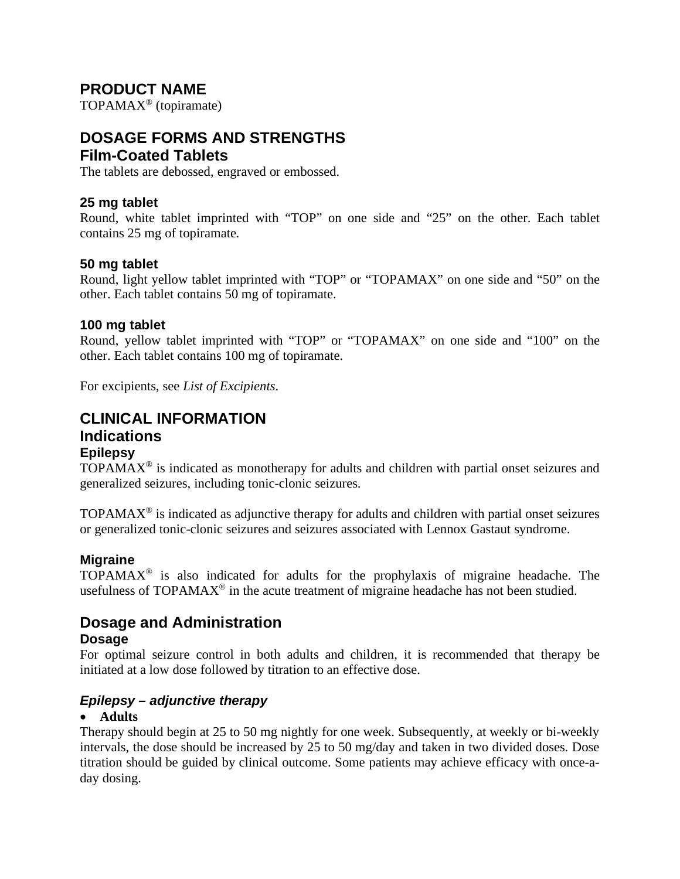# **PRODUCT NAME**

TOPAMAX® (topiramate)

# **DOSAGE FORMS AND STRENGTHS Film-Coated Tablets**

The tablets are debossed, engraved or embossed.

### **25 mg tablet**

Round, white tablet imprinted with "TOP" on one side and "25" on the other. Each tablet contains 25 mg of topiramate.

### **50 mg tablet**

Round, light yellow tablet imprinted with "TOP" or "TOPAMAX" on one side and "50" on the other. Each tablet contains 50 mg of topiramate.

### **100 mg tablet**

Round, yellow tablet imprinted with "TOP" or "TOPAMAX" on one side and "100" on the other. Each tablet contains 100 mg of topiramate.

For excipients, see *List of Excipients*.

### **CLINICAL INFORMATION Indications Epilepsy**

 $TOPAMAX^{\circ}$  is indicated as monotherapy for adults and children with partial onset seizures and generalized seizures, including tonic-clonic seizures.

 $TOPAMAX<sup>®</sup>$  is indicated as adjunctive therapy for adults and children with partial onset seizures or generalized tonic-clonic seizures and seizures associated with Lennox Gastaut syndrome.

### **Migraine**

TOPAMAX® is also indicated for adults for the prophylaxis of migraine headache. The usefulness of  $TOPAMAX^{\circledast}$  in the acute treatment of migraine headache has not been studied.

# **Dosage and Administration**

### **Dosage**

For optimal seizure control in both adults and children, it is recommended that therapy be initiated at a low dose followed by titration to an effective dose.

### *Epilepsy – adjunctive therapy*

### • **Adults**

Therapy should begin at 25 to 50 mg nightly for one week. Subsequently, at weekly or bi-weekly intervals, the dose should be increased by 25 to 50 mg/day and taken in two divided doses. Dose titration should be guided by clinical outcome. Some patients may achieve efficacy with once-aday dosing.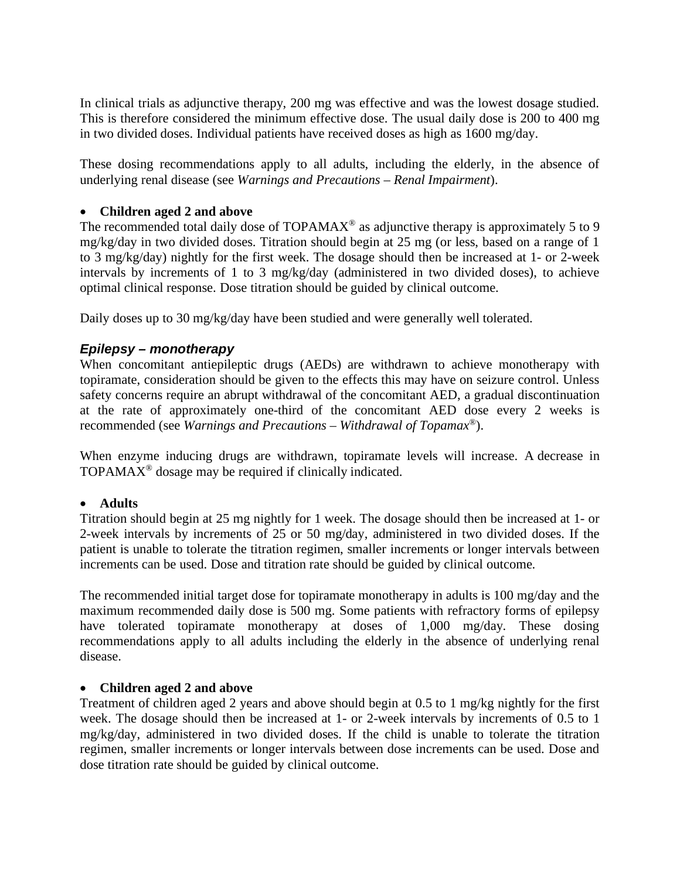In clinical trials as adjunctive therapy, 200 mg was effective and was the lowest dosage studied. This is therefore considered the minimum effective dose. The usual daily dose is 200 to 400 mg in two divided doses. Individual patients have received doses as high as 1600 mg/day.

These dosing recommendations apply to all adults, including the elderly, in the absence of underlying renal disease (see *Warnings and Precautions – Renal Impairment*).

### • **Children aged 2 and above**

The recommended total daily dose of TOPAMAX<sup>®</sup> as adjunctive therapy is approximately 5 to 9 mg/kg/day in two divided doses. Titration should begin at 25 mg (or less, based on a range of 1 to 3 mg/kg/day) nightly for the first week. The dosage should then be increased at 1- or 2-week intervals by increments of 1 to 3 mg/kg/day (administered in two divided doses), to achieve optimal clinical response. Dose titration should be guided by clinical outcome.

Daily doses up to 30 mg/kg/day have been studied and were generally well tolerated.

### *Epilepsy – monotherapy*

When concomitant antiepileptic drugs (AEDs) are withdrawn to achieve monotherapy with topiramate, consideration should be given to the effects this may have on seizure control. Unless safety concerns require an abrupt withdrawal of the concomitant AED, a gradual discontinuation at the rate of approximately one-third of the concomitant AED dose every 2 weeks is recommended (see *Warnings and Precautions – Withdrawal of Topamax®*).

When enzyme inducing drugs are withdrawn, topiramate levels will increase. A decrease in TOPAMAX® dosage may be required if clinically indicated.

### • **Adults**

Titration should begin at 25 mg nightly for 1 week. The dosage should then be increased at 1- or 2-week intervals by increments of 25 or 50 mg/day, administered in two divided doses. If the patient is unable to tolerate the titration regimen, smaller increments or longer intervals between increments can be used. Dose and titration rate should be guided by clinical outcome.

The recommended initial target dose for topiramate monotherapy in adults is 100 mg/day and the maximum recommended daily dose is 500 mg. Some patients with refractory forms of epilepsy have tolerated topiramate monotherapy at doses of 1,000 mg/day. These dosing recommendations apply to all adults including the elderly in the absence of underlying renal disease.

### • **Children aged 2 and above**

Treatment of children aged 2 years and above should begin at 0.5 to 1 mg/kg nightly for the first week. The dosage should then be increased at 1- or 2-week intervals by increments of 0.5 to 1 mg/kg/day, administered in two divided doses. If the child is unable to tolerate the titration regimen, smaller increments or longer intervals between dose increments can be used. Dose and dose titration rate should be guided by clinical outcome.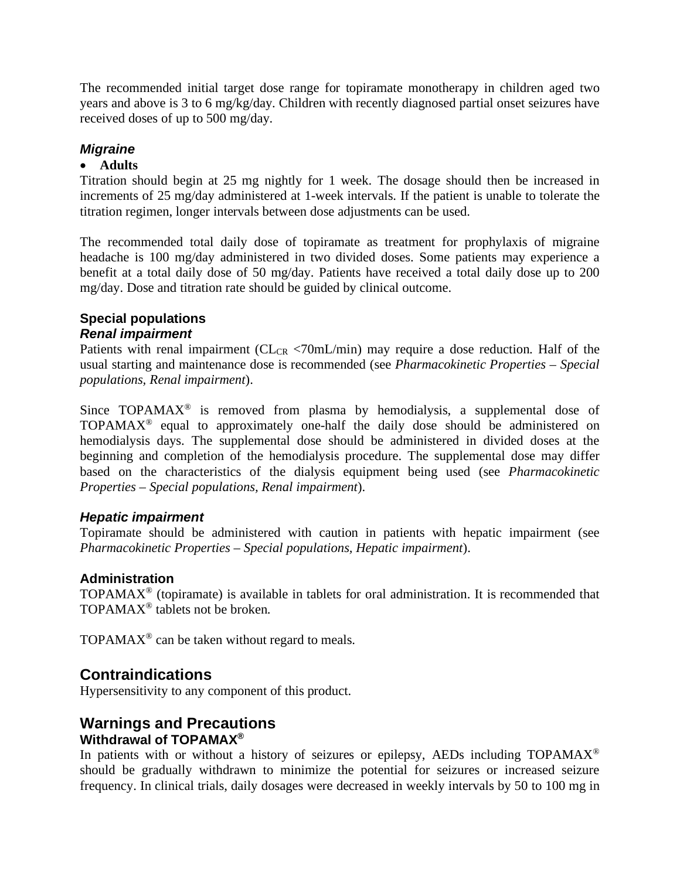The recommended initial target dose range for topiramate monotherapy in children aged two years and above is 3 to 6 mg/kg/day. Children with recently diagnosed partial onset seizures have received doses of up to 500 mg/day.

### *Migraine*

### • **Adults**

Titration should begin at 25 mg nightly for 1 week. The dosage should then be increased in increments of 25 mg/day administered at 1-week intervals. If the patient is unable to tolerate the titration regimen, longer intervals between dose adjustments can be used.

The recommended total daily dose of topiramate as treatment for prophylaxis of migraine headache is 100 mg/day administered in two divided doses. Some patients may experience a benefit at a total daily dose of 50 mg/day. Patients have received a total daily dose up to 200 mg/day. Dose and titration rate should be guided by clinical outcome.

# **Special populations**

### *Renal impairment*

Patients with renal impairment ( $CL_{CR}$  <70mL/min) may require a dose reduction. Half of the usual starting and maintenance dose is recommended (see *Pharmacokinetic Properties – Special populations, Renal impairment*).

Since  $TOPAMAX^{\circledast}$  is removed from plasma by hemodialysis, a supplemental dose of TOPAMAX® equal to approximately one-half the daily dose should be administered on hemodialysis days. The supplemental dose should be administered in divided doses at the beginning and completion of the hemodialysis procedure. The supplemental dose may differ based on the characteristics of the dialysis equipment being used (see *Pharmacokinetic Properties – Special populations, Renal impairment*).

### *Hepatic impairment*

Topiramate should be administered with caution in patients with hepatic impairment (see *Pharmacokinetic Properties – Special populations, Hepatic impairment*).

### **Administration**

TOPAMA $X^{\circ}$  (topiramate) is available in tablets for oral administration. It is recommended that TOPAMAX® tablets not be broken.

TOPAMA $X^{\circledcirc}$  can be taken without regard to meals.

### **Contraindications**

Hypersensitivity to any component of this product.

### **Warnings and Precautions Withdrawal of TOPAMAX®**

In patients with or without a history of seizures or epilepsy, AEDs including TOPAMAX<sup>®</sup> should be gradually withdrawn to minimize the potential for seizures or increased seizure frequency. In clinical trials, daily dosages were decreased in weekly intervals by 50 to 100 mg in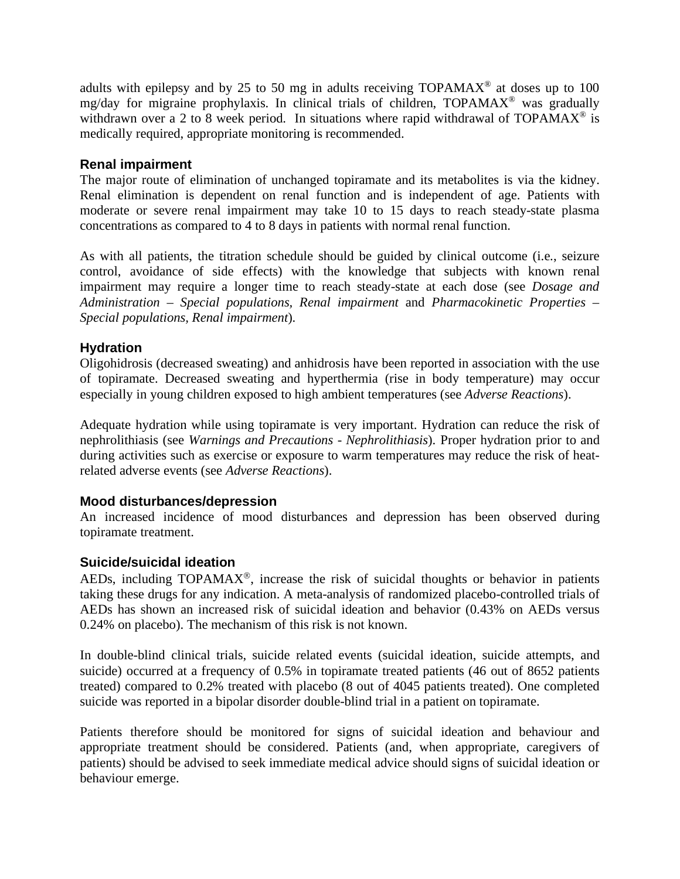adults with epilepsy and by 25 to 50 mg in adults receiving  $TOPAMAX^{\circledcirc}$  at doses up to 100 mg/day for migraine prophylaxis. In clinical trials of children, TOPAMAX® was gradually withdrawn over a 2 to 8 week period. In situations where rapid withdrawal of TOPAMAX<sup>®</sup> is medically required, appropriate monitoring is recommended.

### **Renal impairment**

The major route of elimination of unchanged topiramate and its metabolites is via the kidney. Renal elimination is dependent on renal function and is independent of age. Patients with moderate or severe renal impairment may take 10 to 15 days to reach steady-state plasma concentrations as compared to 4 to 8 days in patients with normal renal function.

As with all patients, the titration schedule should be guided by clinical outcome (i.e., seizure control, avoidance of side effects) with the knowledge that subjects with known renal impairment may require a longer time to reach steady-state at each dose (see *Dosage and Administration – Special populations, Renal impairment* and *Pharmacokinetic Properties – Special populations, Renal impairment*).

### **Hydration**

Oligohidrosis (decreased sweating) and anhidrosis have been reported in association with the use of topiramate. Decreased sweating and hyperthermia (rise in body temperature) may occur especially in young children exposed to high ambient temperatures (see *Adverse Reactions*).

Adequate hydration while using topiramate is very important. Hydration can reduce the risk of nephrolithiasis (see *Warnings and Precautions - Nephrolithiasis*). Proper hydration prior to and during activities such as exercise or exposure to warm temperatures may reduce the risk of heatrelated adverse events (see *Adverse Reactions*).

### **Mood disturbances/depression**

An increased incidence of mood disturbances and depression has been observed during topiramate treatment.

### **Suicide/suicidal ideation**

AEDs, including TOPAMAX®, increase the risk of suicidal thoughts or behavior in patients taking these drugs for any indication. A meta-analysis of randomized placebo-controlled trials of AEDs has shown an increased risk of suicidal ideation and behavior (0.43% on AEDs versus 0.24% on placebo). The mechanism of this risk is not known.

In double-blind clinical trials, suicide related events (suicidal ideation, suicide attempts, and suicide) occurred at a frequency of 0.5% in topiramate treated patients (46 out of 8652 patients treated) compared to 0.2% treated with placebo (8 out of 4045 patients treated). One completed suicide was reported in a bipolar disorder double-blind trial in a patient on topiramate.

Patients therefore should be monitored for signs of suicidal ideation and behaviour and appropriate treatment should be considered. Patients (and, when appropriate, caregivers of patients) should be advised to seek immediate medical advice should signs of suicidal ideation or behaviour emerge.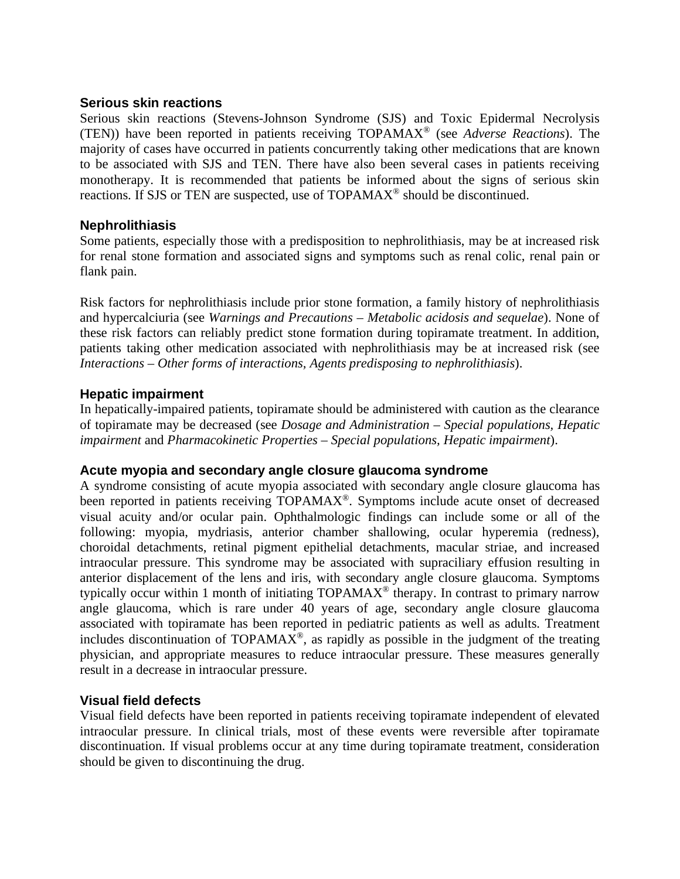### **Serious skin reactions**

Serious skin reactions (Stevens-Johnson Syndrome (SJS) and Toxic Epidermal Necrolysis (TEN)) have been reported in patients receiving TOPAMAX® (see *Adverse Reactions*). The majority of cases have occurred in patients concurrently taking other medications that are known to be associated with SJS and TEN. There have also been several cases in patients receiving monotherapy. It is recommended that patients be informed about the signs of serious skin reactions. If SJS or TEN are suspected, use of TOPAMAX® should be discontinued.

### **Nephrolithiasis**

Some patients, especially those with a predisposition to nephrolithiasis, may be at increased risk for renal stone formation and associated signs and symptoms such as renal colic, renal pain or flank pain.

Risk factors for nephrolithiasis include prior stone formation, a family history of nephrolithiasis and hypercalciuria (see *Warnings and Precautions – Metabolic acidosis and sequelae*). None of these risk factors can reliably predict stone formation during topiramate treatment. In addition, patients taking other medication associated with nephrolithiasis may be at increased risk (see *Interactions – Other forms of interactions, Agents predisposing to nephrolithiasis*).

### **Hepatic impairment**

In hepatically-impaired patients, topiramate should be administered with caution as the clearance of topiramate may be decreased (see *Dosage and Administration – Special populations, Hepatic impairment* and *Pharmacokinetic Properties – Special populations, Hepatic impairment*).

### **Acute myopia and secondary angle closure glaucoma syndrome**

A syndrome consisting of acute myopia associated with secondary angle closure glaucoma has been reported in patients receiving TOPAMAX®. Symptoms include acute onset of decreased visual acuity and/or ocular pain. Ophthalmologic findings can include some or all of the following: myopia, mydriasis, anterior chamber shallowing, ocular hyperemia (redness), choroidal detachments, retinal pigment epithelial detachments, macular striae, and increased intraocular pressure. This syndrome may be associated with supraciliary effusion resulting in anterior displacement of the lens and iris, with secondary angle closure glaucoma. Symptoms typically occur within 1 month of initiating  $TOPAMAX^{\circledcirc}$  therapy. In contrast to primary narrow angle glaucoma, which is rare under 40 years of age, secondary angle closure glaucoma associated with topiramate has been reported in pediatric patients as well as adults. Treatment includes discontinuation of TOPAMA $\vec{X}^{\circledast}$ , as rapidly as possible in the judgment of the treating physician, and appropriate measures to reduce intraocular pressure. These measures generally result in a decrease in intraocular pressure.

### **Visual field defects**

Visual field defects have been reported in patients receiving topiramate independent of elevated intraocular pressure. In clinical trials, most of these events were reversible after topiramate discontinuation. If visual problems occur at any time during topiramate treatment, consideration should be given to discontinuing the drug.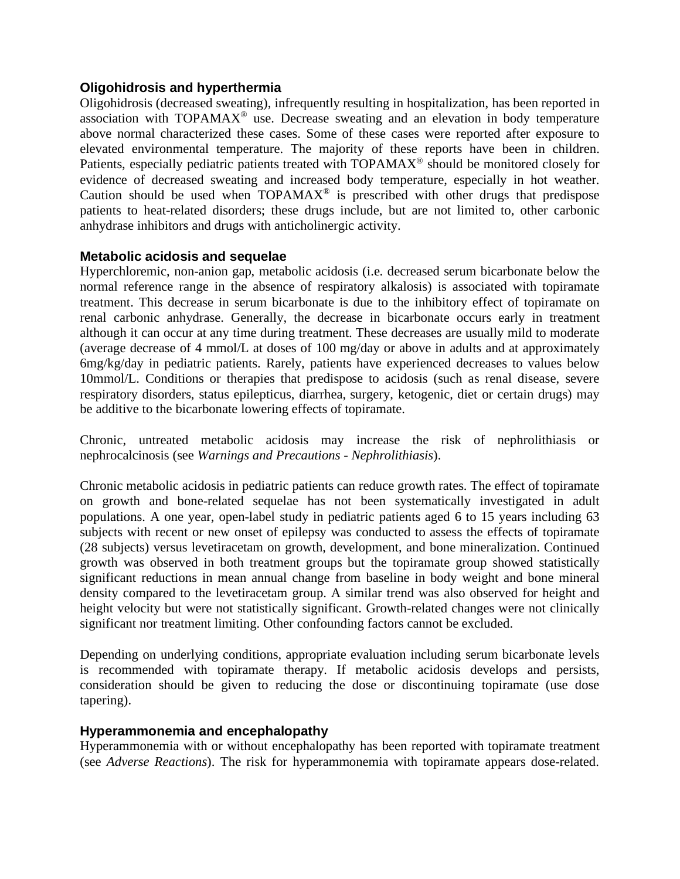### **Oligohidrosis and hyperthermia**

Oligohidrosis (decreased sweating), infrequently resulting in hospitalization, has been reported in association with  $TOPAMAX^{\circledast}$  use. Decrease sweating and an elevation in body temperature above normal characterized these cases. Some of these cases were reported after exposure to elevated environmental temperature. The majority of these reports have been in children. Patients, especially pediatric patients treated with TOPAMAX<sup>®</sup> should be monitored closely for evidence of decreased sweating and increased body temperature, especially in hot weather. Caution should be used when  $TOPAMAX^@$  is prescribed with other drugs that predispose patients to heat-related disorders; these drugs include, but are not limited to, other carbonic anhydrase inhibitors and drugs with anticholinergic activity.

### **Metabolic acidosis and sequelae**

Hyperchloremic, non-anion gap, metabolic acidosis (i.e. decreased serum bicarbonate below the normal reference range in the absence of respiratory alkalosis) is associated with topiramate treatment. This decrease in serum bicarbonate is due to the inhibitory effect of topiramate on renal carbonic anhydrase. Generally, the decrease in bicarbonate occurs early in treatment although it can occur at any time during treatment. These decreases are usually mild to moderate (average decrease of 4 mmol/L at doses of 100 mg/day or above in adults and at approximately 6mg/kg/day in pediatric patients. Rarely, patients have experienced decreases to values below 10mmol/L. Conditions or therapies that predispose to acidosis (such as renal disease, severe respiratory disorders, status epilepticus, diarrhea, surgery, ketogenic, diet or certain drugs) may be additive to the bicarbonate lowering effects of topiramate.

Chronic, untreated metabolic acidosis may increase the risk of nephrolithiasis or nephrocalcinosis (see *Warnings and Precautions - Nephrolithiasis*).

Chronic metabolic acidosis in pediatric patients can reduce growth rates. The effect of topiramate on growth and bone-related sequelae has not been systematically investigated in adult populations. A one year, open-label study in pediatric patients aged 6 to 15 years including 63 subjects with recent or new onset of epilepsy was conducted to assess the effects of topiramate (28 subjects) versus levetiracetam on growth, development, and bone mineralization. Continued growth was observed in both treatment groups but the topiramate group showed statistically significant reductions in mean annual change from baseline in body weight and bone mineral density compared to the levetiracetam group. A similar trend was also observed for height and height velocity but were not statistically significant. Growth-related changes were not clinically significant nor treatment limiting. Other confounding factors cannot be excluded.

Depending on underlying conditions, appropriate evaluation including serum bicarbonate levels is recommended with topiramate therapy. If metabolic acidosis develops and persists, consideration should be given to reducing the dose or discontinuing topiramate (use dose tapering).

### **Hyperammonemia and encephalopathy**

Hyperammonemia with or without encephalopathy has been reported with topiramate treatment (see *Adverse Reactions*). The risk for hyperammonemia with topiramate appears dose-related.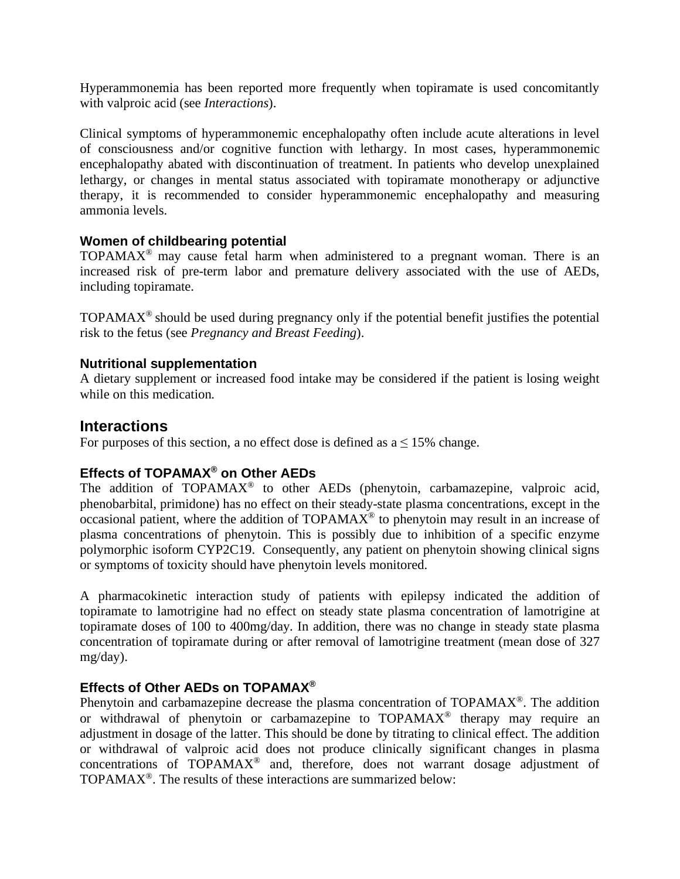Hyperammonemia has been reported more frequently when topiramate is used concomitantly with valproic acid (see *Interactions*).

Clinical symptoms of hyperammonemic encephalopathy often include acute alterations in level of consciousness and/or cognitive function with lethargy. In most cases, hyperammonemic encephalopathy abated with discontinuation of treatment. In patients who develop unexplained lethargy, or changes in mental status associated with topiramate monotherapy or adjunctive therapy, it is recommended to consider hyperammonemic encephalopathy and measuring ammonia levels.

### **Women of childbearing potential**

TOPAMAX<sup>®</sup> may cause fetal harm when administered to a pregnant woman. There is an increased risk of pre-term labor and premature delivery associated with the use of AEDs, including topiramate.

TOPAMAX® should be used during pregnancy only if the potential benefit justifies the potential risk to the fetus (see *Pregnancy and Breast Feeding*).

### **Nutritional supplementation**

A dietary supplement or increased food intake may be considered if the patient is losing weight while on this medication.

### **Interactions**

For purposes of this section, a no effect dose is defined as  $a \le 15\%$  change.

### **Effects of TOPAMAX® on Other AEDs**

The addition of  $TOPAMAX^@$  to other AEDs (phenytoin, carbamazepine, valproic acid, phenobarbital, primidone) has no effect on their steady-state plasma concentrations, except in the occasional patient, where the addition of  $TOPAMAX^@$  to phenytoin may result in an increase of plasma concentrations of phenytoin. This is possibly due to inhibition of a specific enzyme polymorphic isoform CYP2C19. Consequently, any patient on phenytoin showing clinical signs or symptoms of toxicity should have phenytoin levels monitored.

A pharmacokinetic interaction study of patients with epilepsy indicated the addition of topiramate to lamotrigine had no effect on steady state plasma concentration of lamotrigine at topiramate doses of 100 to 400mg/day. In addition, there was no change in steady state plasma concentration of topiramate during or after removal of lamotrigine treatment (mean dose of 327 mg/day).

### **Effects of Other AEDs on TOPAMAX®**

Phenytoin and carbamazepine decrease the plasma concentration of TOPAMAX®. The addition or withdrawal of phenytoin or carbamazepine to TOPAMAX® therapy may require an adjustment in dosage of the latter. This should be done by titrating to clinical effect. The addition or withdrawal of valproic acid does not produce clinically significant changes in plasma concentrations of TOPAMAX® and, therefore, does not warrant dosage adjustment of TOPAMAX®. The results of these interactions are summarized below: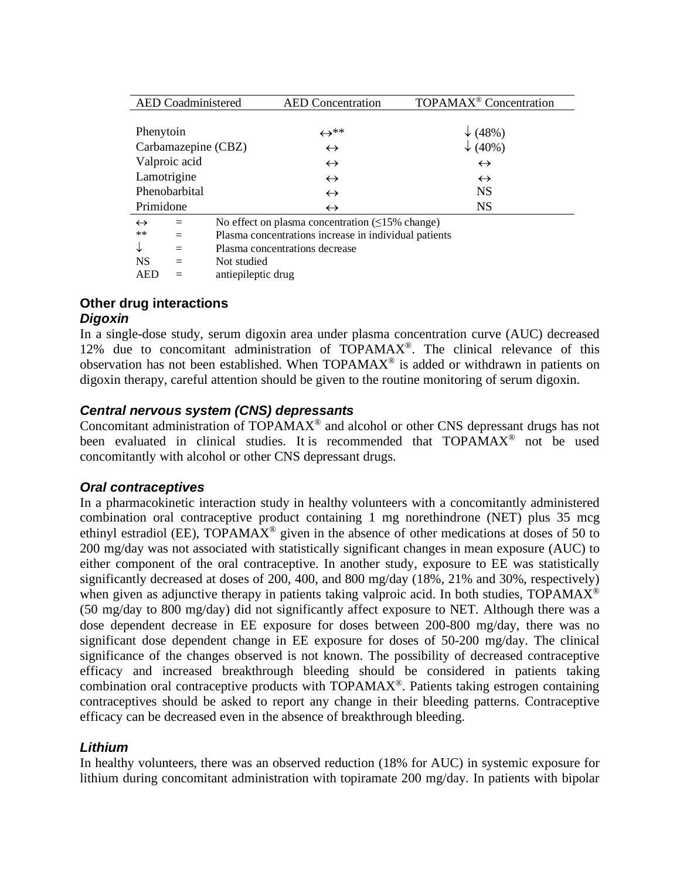| <b>AED</b> Coadministered |                                                       | <b>AED</b> Concentration                               | TOPAMAX <sup>®</sup> Concentration |  |
|---------------------------|-------------------------------------------------------|--------------------------------------------------------|------------------------------------|--|
|                           |                                                       |                                                        |                                    |  |
| Phenytoin                 |                                                       | $\leftrightarrow^{**}$                                 | $\downarrow$ (48%)                 |  |
| Carbamazepine (CBZ)       |                                                       | $\leftrightarrow$                                      | $\downarrow$ (40%)                 |  |
| Valproic acid             |                                                       | $\leftrightarrow$                                      | $\leftrightarrow$                  |  |
| Lamotrigine               |                                                       | $\leftrightarrow$                                      | $\leftrightarrow$                  |  |
| Phenobarbital             |                                                       | $\leftrightarrow$                                      | <b>NS</b>                          |  |
| Primidone                 |                                                       | $\leftrightarrow$                                      | <b>NS</b>                          |  |
| $\leftrightarrow$         |                                                       | No effect on plasma concentration $(\leq 15\%$ change) |                                    |  |
| $***$                     | Plasma concentrations increase in individual patients |                                                        |                                    |  |
|                           | Plasma concentrations decrease                        |                                                        |                                    |  |
| <b>NS</b>                 | Not studied                                           |                                                        |                                    |  |

AED = antiepileptic drug

### **Other drug interactions** *Digoxin*

In a single-dose study, serum digoxin area under plasma concentration curve (AUC) decreased 12% due to concomitant administration of TOPAMAX®. The clinical relevance of this observation has not been established. When TOPAMAX® is added or withdrawn in patients on digoxin therapy, careful attention should be given to the routine monitoring of serum digoxin.

### *Central nervous system (CNS) depressants*

Concomitant administration of TOPAMAX® and alcohol or other CNS depressant drugs has not been evaluated in clinical studies. It is recommended that TOPAMAX<sup>®</sup> not be used concomitantly with alcohol or other CNS depressant drugs.

### *Oral contraceptives*

In a pharmacokinetic interaction study in healthy volunteers with a concomitantly administered combination oral contraceptive product containing 1 mg norethindrone (NET) plus 35 mcg ethinyl estradiol (EE),  $TOPAMAX^{\circledast}$  given in the absence of other medications at doses of 50 to 200 mg/day was not associated with statistically significant changes in mean exposure (AUC) to either component of the oral contraceptive. In another study, exposure to EE was statistically significantly decreased at doses of 200, 400, and 800 mg/day (18%, 21% and 30%, respectively) when given as adjunctive therapy in patients taking valproic acid. In both studies,  $TOPAMAX^@$ (50 mg/day to 800 mg/day) did not significantly affect exposure to NET. Although there was a dose dependent decrease in EE exposure for doses between 200-800 mg/day, there was no significant dose dependent change in EE exposure for doses of 50-200 mg/day. The clinical significance of the changes observed is not known. The possibility of decreased contraceptive efficacy and increased breakthrough bleeding should be considered in patients taking combination oral contraceptive products with  $\overline{TOPAMAX}^{\circledR}$ . Patients taking estrogen containing contraceptives should be asked to report any change in their bleeding patterns. Contraceptive efficacy can be decreased even in the absence of breakthrough bleeding.

### *Lithium*

In healthy volunteers, there was an observed reduction (18% for AUC) in systemic exposure for lithium during concomitant administration with topiramate 200 mg/day. In patients with bipolar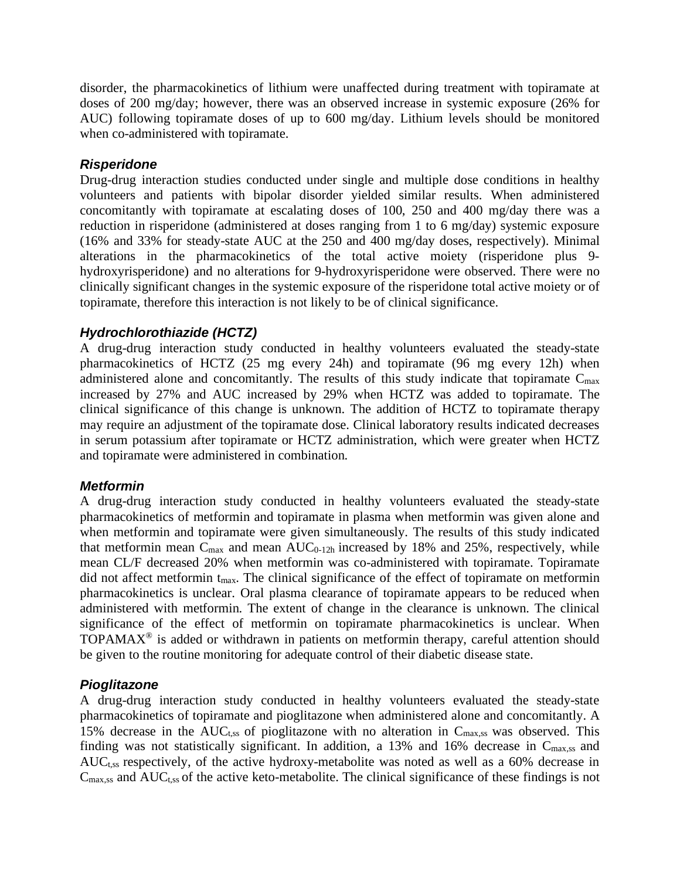disorder, the pharmacokinetics of lithium were unaffected during treatment with topiramate at doses of 200 mg/day; however, there was an observed increase in systemic exposure (26% for AUC) following topiramate doses of up to 600 mg/day. Lithium levels should be monitored when co-administered with topiramate.

### *Risperidone*

Drug-drug interaction studies conducted under single and multiple dose conditions in healthy volunteers and patients with bipolar disorder yielded similar results. When administered concomitantly with topiramate at escalating doses of 100, 250 and 400 mg/day there was a reduction in risperidone (administered at doses ranging from 1 to 6 mg/day) systemic exposure (16% and 33% for steady-state AUC at the 250 and 400 mg/day doses, respectively). Minimal alterations in the pharmacokinetics of the total active moiety (risperidone plus 9 hydroxyrisperidone) and no alterations for 9-hydroxyrisperidone were observed. There were no clinically significant changes in the systemic exposure of the risperidone total active moiety or of topiramate, therefore this interaction is not likely to be of clinical significance.

### *Hydrochlorothiazide (HCTZ)*

A drug-drug interaction study conducted in healthy volunteers evaluated the steady-state pharmacokinetics of HCTZ (25 mg every 24h) and topiramate (96 mg every 12h) when administered alone and concomitantly. The results of this study indicate that topiramate  $C_{\text{max}}$ increased by 27% and AUC increased by 29% when HCTZ was added to topiramate. The clinical significance of this change is unknown. The addition of HCTZ to topiramate therapy may require an adjustment of the topiramate dose. Clinical laboratory results indicated decreases in serum potassium after topiramate or HCTZ administration, which were greater when HCTZ and topiramate were administered in combination.

### *Metformin*

A drug-drug interaction study conducted in healthy volunteers evaluated the steady-state pharmacokinetics of metformin and topiramate in plasma when metformin was given alone and when metformin and topiramate were given simultaneously. The results of this study indicated that metformin mean  $C_{\text{max}}$  and mean  $AUC_{0-12h}$  increased by 18% and 25%, respectively, while mean CL/F decreased 20% when metformin was co-administered with topiramate. Topiramate did not affect metformin t<sub>max</sub>. The clinical significance of the effect of topiramate on metformin pharmacokinetics is unclear. Oral plasma clearance of topiramate appears to be reduced when administered with metformin. The extent of change in the clearance is unknown. The clinical significance of the effect of metformin on topiramate pharmacokinetics is unclear. When TOPAMAX® is added or withdrawn in patients on metformin therapy, careful attention should be given to the routine monitoring for adequate control of their diabetic disease state.

### *Pioglitazone*

A drug-drug interaction study conducted in healthy volunteers evaluated the steady-state pharmacokinetics of topiramate and pioglitazone when administered alone and concomitantly. A 15% decrease in the  $AUC_{t,ss}$  of pioglitazone with no alteration in  $C_{max,ss}$  was observed. This finding was not statistically significant. In addition, a 13% and 16% decrease in  $C_{\text{max,ss}}$  and AUC<sub>t,ss</sub> respectively, of the active hydroxy-metabolite was noted as well as a 60% decrease in  $C<sub>max,ss</sub>$  and  $AUC<sub>t,ss</sub>$  of the active keto-metabolite. The clinical significance of these findings is not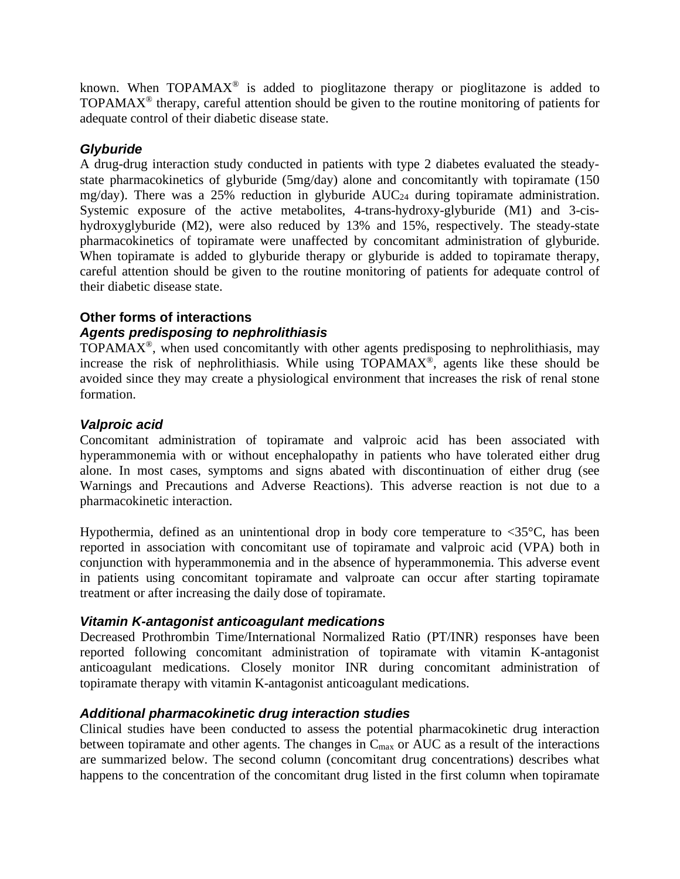known. When TOPAMA $X^{\circledast}$  is added to pioglitazone therapy or pioglitazone is added to TOPAMAX<sup>®</sup> therapy, careful attention should be given to the routine monitoring of patients for adequate control of their diabetic disease state.

### *Glyburide*

A drug-drug interaction study conducted in patients with type 2 diabetes evaluated the steadystate pharmacokinetics of glyburide (5mg/day) alone and concomitantly with topiramate (150 mg/day). There was a 25% reduction in glyburide  $AUC_{24}$  during topiramate administration. Systemic exposure of the active metabolites, 4-trans-hydroxy-glyburide (M1) and 3-cishydroxyglyburide (M2), were also reduced by 13% and 15%, respectively. The steady-state pharmacokinetics of topiramate were unaffected by concomitant administration of glyburide. When topiramate is added to glyburide therapy or glyburide is added to topiramate therapy, careful attention should be given to the routine monitoring of patients for adequate control of their diabetic disease state.

### **Other forms of interactions**

### *Agents predisposing to nephrolithiasis*

 $TOPAMAX<sup>®</sup>$ , when used concomitantly with other agents predisposing to nephrolithiasis, may increase the risk of nephrolithiasis. While using TOPAMAX®, agents like these should be avoided since they may create a physiological environment that increases the risk of renal stone formation.

### *Valproic acid*

Concomitant administration of topiramate and valproic acid has been associated with hyperammonemia with or without encephalopathy in patients who have tolerated either drug alone. In most cases, symptoms and signs abated with discontinuation of either drug (see Warnings and Precautions and Adverse Reactions). This adverse reaction is not due to a pharmacokinetic interaction.

Hypothermia, defined as an unintentional drop in body core temperature to  $\langle 35^{\circ}$ C, has been reported in association with concomitant use of topiramate and valproic acid (VPA) both in conjunction with hyperammonemia and in the absence of hyperammonemia. This adverse event in patients using concomitant topiramate and valproate can occur after starting topiramate treatment or after increasing the daily dose of topiramate.

### *Vitamin K-antagonist anticoagulant medications*

Decreased Prothrombin Time/International Normalized Ratio (PT/INR) responses have been reported following concomitant administration of topiramate with vitamin K-antagonist anticoagulant medications. Closely monitor INR during concomitant administration of topiramate therapy with vitamin K-antagonist anticoagulant medications.

### *Additional pharmacokinetic drug interaction studies*

Clinical studies have been conducted to assess the potential pharmacokinetic drug interaction between topiramate and other agents. The changes in  $C_{\text{max}}$  or AUC as a result of the interactions are summarized below. The second column (concomitant drug concentrations) describes what happens to the concentration of the concomitant drug listed in the first column when topiramate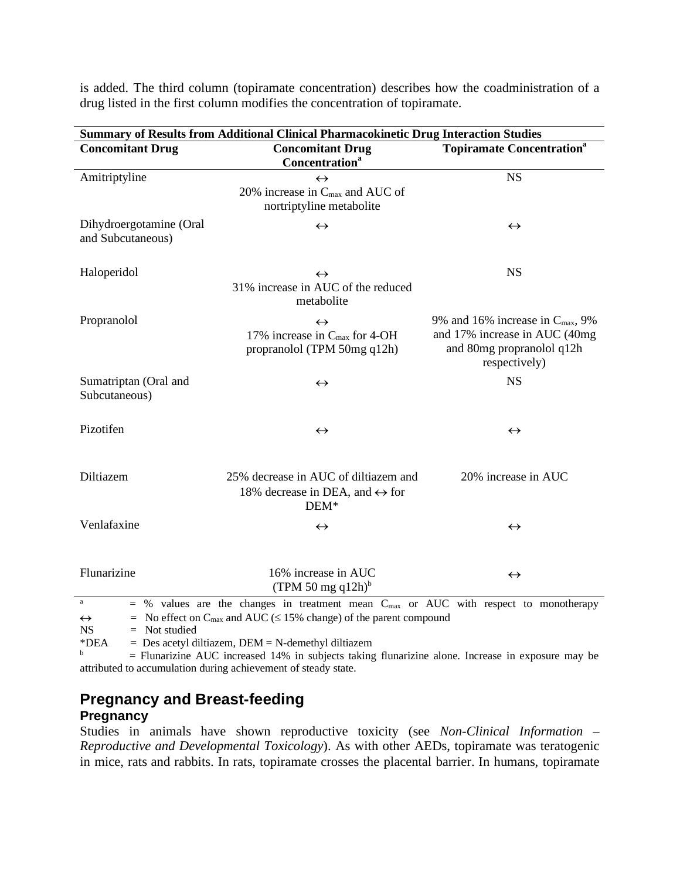|                                              | <b>Summary of Results from Additional Clinical Pharmacokinetic Drug Interaction Studies</b>                                                                                                    |                                                                                                                             |  |  |  |  |  |  |
|----------------------------------------------|------------------------------------------------------------------------------------------------------------------------------------------------------------------------------------------------|-----------------------------------------------------------------------------------------------------------------------------|--|--|--|--|--|--|
| <b>Concomitant Drug</b>                      | <b>Concomitant Drug</b><br>Concentration <sup>a</sup>                                                                                                                                          | <b>Topiramate Concentration</b> <sup>a</sup>                                                                                |  |  |  |  |  |  |
| Amitriptyline                                | $\leftrightarrow$<br>20% increase in $C_{\text{max}}$ and AUC of<br>nortriptyline metabolite                                                                                                   | <b>NS</b>                                                                                                                   |  |  |  |  |  |  |
| Dihydroergotamine (Oral<br>and Subcutaneous) | $\leftrightarrow$                                                                                                                                                                              | $\leftrightarrow$                                                                                                           |  |  |  |  |  |  |
| Haloperidol                                  | $\leftrightarrow$<br>31% increase in AUC of the reduced<br>metabolite                                                                                                                          | <b>NS</b>                                                                                                                   |  |  |  |  |  |  |
| Propranolol                                  | $\leftrightarrow$<br>17% increase in C <sub>max</sub> for 4-OH<br>propranolol (TPM 50mg q12h)                                                                                                  | 9% and 16% increase in $C_{\text{max}}$ , 9%<br>and 17% increase in AUC (40mg<br>and 80mg propranolol q12h<br>respectively) |  |  |  |  |  |  |
| Sumatriptan (Oral and<br>Subcutaneous)       | $\leftrightarrow$                                                                                                                                                                              | <b>NS</b>                                                                                                                   |  |  |  |  |  |  |
| Pizotifen                                    | $\leftrightarrow$                                                                                                                                                                              | $\leftrightarrow$                                                                                                           |  |  |  |  |  |  |
| Diltiazem                                    | 25% decrease in AUC of diltiazem and<br>18% decrease in DEA, and $\leftrightarrow$ for<br>$DEM*$                                                                                               | 20% increase in AUC                                                                                                         |  |  |  |  |  |  |
| Venlafaxine                                  | $\leftrightarrow$                                                                                                                                                                              | $\leftrightarrow$                                                                                                           |  |  |  |  |  |  |
| Flunarizine                                  | 16% increase in AUC<br>(TPM 50 mg q12h) $^{\rm b}$                                                                                                                                             | $\leftrightarrow$                                                                                                           |  |  |  |  |  |  |
| $\leftrightarrow$                            | a<br>$=$ % values are the changes in treatment mean C <sub>max</sub> or AUC with respect to monotherapy<br>= No effect on $C_{\text{max}}$ and AUC ( $\leq$ 15% change) of the parent compound |                                                                                                                             |  |  |  |  |  |  |

is added. The third column (topiramate concentration) describes how the coadministration of a drug listed in the first column modifies the concentration of topiramate.

\*DEA = Des acetyl diltiazem, DEM = N-demethyl diltiazem<br>  $\frac{b}{b}$  = Elunarizine ALIC increased 14% in subjects taking

 $b =$  Flunarizine AUC increased 14% in subjects taking flunarizine alone. Increase in exposure may be attributed to accumulation during achievement of steady state.

# **Pregnancy and Breast-feeding**

### **Pregnancy**

 $NS = Not studied$ 

Studies in animals have shown reproductive toxicity (see *Non-Clinical Information – Reproductive and Developmental Toxicology*). As with other AEDs, topiramate was teratogenic in mice, rats and rabbits. In rats, topiramate crosses the placental barrier. In humans, topiramate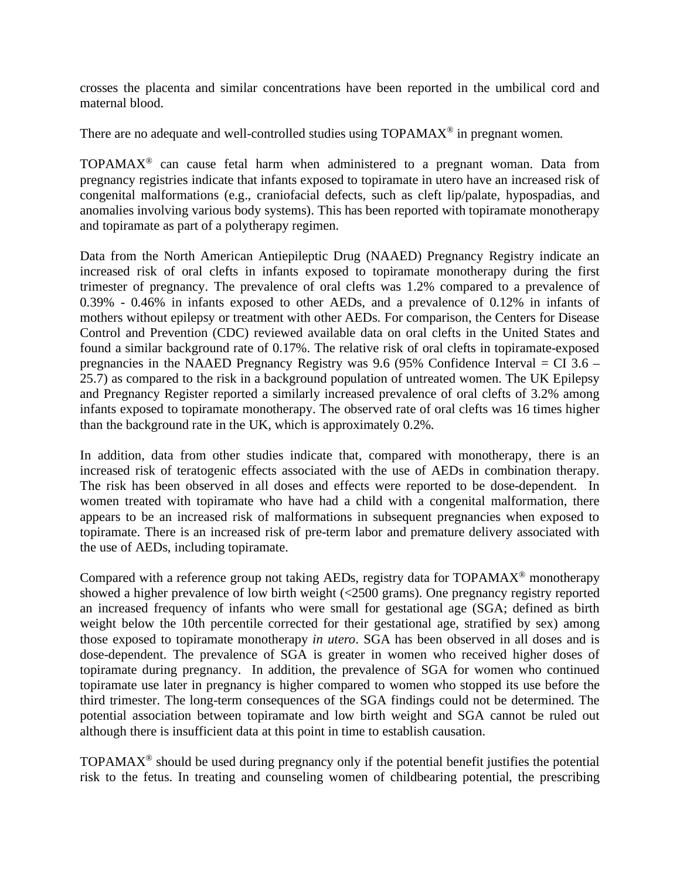crosses the placenta and similar concentrations have been reported in the umbilical cord and maternal blood.

There are no adequate and well-controlled studies using  $TOPAMAX^{\circledcirc}$  in pregnant women.

 $TOPAMAX<sup>®</sup>$  can cause fetal harm when administered to a pregnant woman. Data from pregnancy registries indicate that infants exposed to topiramate in utero have an increased risk of congenital malformations (e.g., craniofacial defects, such as cleft lip/palate, hypospadias, and anomalies involving various body systems). This has been reported with topiramate monotherapy and topiramate as part of a polytherapy regimen.

Data from the North American Antiepileptic Drug (NAAED) Pregnancy Registry indicate an increased risk of oral clefts in infants exposed to topiramate monotherapy during the first trimester of pregnancy. The prevalence of oral clefts was 1.2% compared to a prevalence of 0.39% - 0.46% in infants exposed to other AEDs, and a prevalence of 0.12% in infants of mothers without epilepsy or treatment with other AEDs. For comparison, the Centers for Disease Control and Prevention (CDC) reviewed available data on oral clefts in the United States and found a similar background rate of 0.17%. The relative risk of oral clefts in topiramate-exposed pregnancies in the NAAED Pregnancy Registry was 9.6 (95% Confidence Interval  $=$  CI 3.6 – 25.7) as compared to the risk in a background population of untreated women. The UK Epilepsy and Pregnancy Register reported a similarly increased prevalence of oral clefts of 3.2% among infants exposed to topiramate monotherapy. The observed rate of oral clefts was 16 times higher than the background rate in the UK, which is approximately 0.2%.

In addition, data from other studies indicate that, compared with monotherapy, there is an increased risk of teratogenic effects associated with the use of AEDs in combination therapy. The risk has been observed in all doses and effects were reported to be dose-dependent. In women treated with topiramate who have had a child with a congenital malformation, there appears to be an increased risk of malformations in subsequent pregnancies when exposed to topiramate. There is an increased risk of pre-term labor and premature delivery associated with the use of AEDs, including topiramate.

Compared with a reference group not taking AEDs, registry data for TOPAMAX® monotherapy showed a higher prevalence of low birth weight (<2500 grams). One pregnancy registry reported an increased frequency of infants who were small for gestational age (SGA; defined as birth weight below the 10th percentile corrected for their gestational age, stratified by sex) among those exposed to topiramate monotherapy *in utero*. SGA has been observed in all doses and is dose-dependent. The prevalence of SGA is greater in women who received higher doses of topiramate during pregnancy. In addition, the prevalence of SGA for women who continued topiramate use later in pregnancy is higher compared to women who stopped its use before the third trimester. The long-term consequences of the SGA findings could not be determined. The potential association between topiramate and low birth weight and SGA cannot be ruled out although there is insufficient data at this point in time to establish causation.

TOPAMAX® should be used during pregnancy only if the potential benefit justifies the potential risk to the fetus. In treating and counseling women of childbearing potential, the prescribing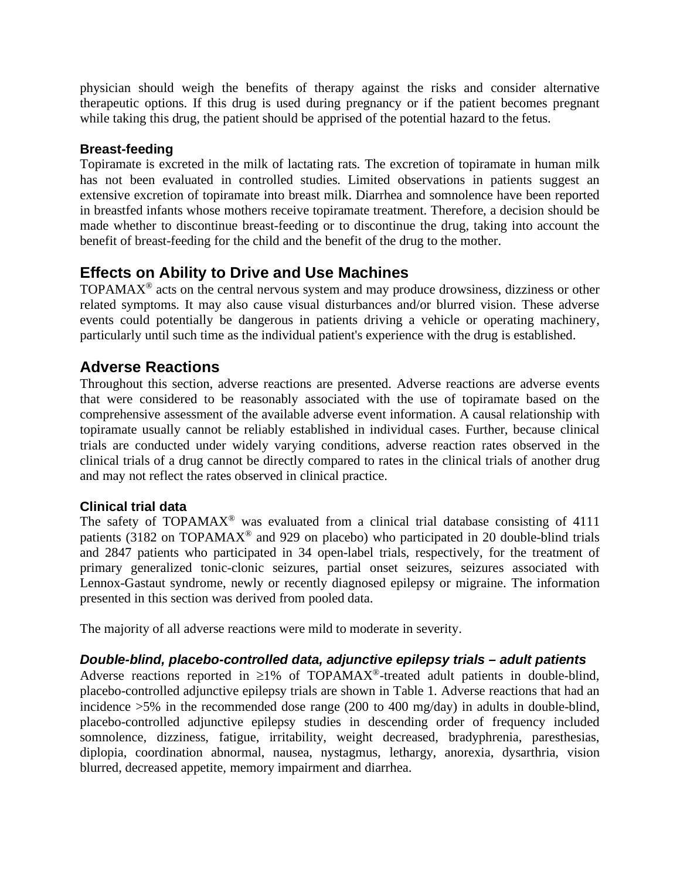physician should weigh the benefits of therapy against the risks and consider alternative therapeutic options. If this drug is used during pregnancy or if the patient becomes pregnant while taking this drug, the patient should be apprised of the potential hazard to the fetus.

### **Breast-feeding**

Topiramate is excreted in the milk of lactating rats. The excretion of topiramate in human milk has not been evaluated in controlled studies. Limited observations in patients suggest an extensive excretion of topiramate into breast milk. Diarrhea and somnolence have been reported in breastfed infants whose mothers receive topiramate treatment. Therefore, a decision should be made whether to discontinue breast-feeding or to discontinue the drug, taking into account the benefit of breast-feeding for the child and the benefit of the drug to the mother.

# **Effects on Ability to Drive and Use Machines**

TOPAMAX® acts on the central nervous system and may produce drowsiness, dizziness or other related symptoms. It may also cause visual disturbances and/or blurred vision. These adverse events could potentially be dangerous in patients driving a vehicle or operating machinery, particularly until such time as the individual patient's experience with the drug is established.

# **Adverse Reactions**

Throughout this section, adverse reactions are presented. Adverse reactions are adverse events that were considered to be reasonably associated with the use of topiramate based on the comprehensive assessment of the available adverse event information. A causal relationship with topiramate usually cannot be reliably established in individual cases. Further, because clinical trials are conducted under widely varying conditions, adverse reaction rates observed in the clinical trials of a drug cannot be directly compared to rates in the clinical trials of another drug and may not reflect the rates observed in clinical practice.

### **Clinical trial data**

The safety of TOPAMAX<sup>®</sup> was evaluated from a clinical trial database consisting of  $4111$ patients (3182 on TOPAMAX® and 929 on placebo) who participated in 20 double-blind trials and 2847 patients who participated in 34 open-label trials, respectively, for the treatment of primary generalized tonic-clonic seizures, partial onset seizures, seizures associated with Lennox-Gastaut syndrome, newly or recently diagnosed epilepsy or migraine. The information presented in this section was derived from pooled data.

The majority of all adverse reactions were mild to moderate in severity.

### *Double-blind, placebo-controlled data, adjunctive epilepsy trials – adult patients*

Adverse reactions reported in  $\geq$ 1% of TOPAMAX<sup>®</sup>-treated adult patients in double-blind, placebo-controlled adjunctive epilepsy trials are shown in Table 1. Adverse reactions that had an incidence >5% in the recommended dose range (200 to 400 mg/day) in adults in double-blind, placebo-controlled adjunctive epilepsy studies in descending order of frequency included somnolence, dizziness, fatigue, irritability, weight decreased, bradyphrenia, paresthesias, diplopia, coordination abnormal, nausea, nystagmus, lethargy, anorexia, dysarthria, vision blurred, decreased appetite, memory impairment and diarrhea.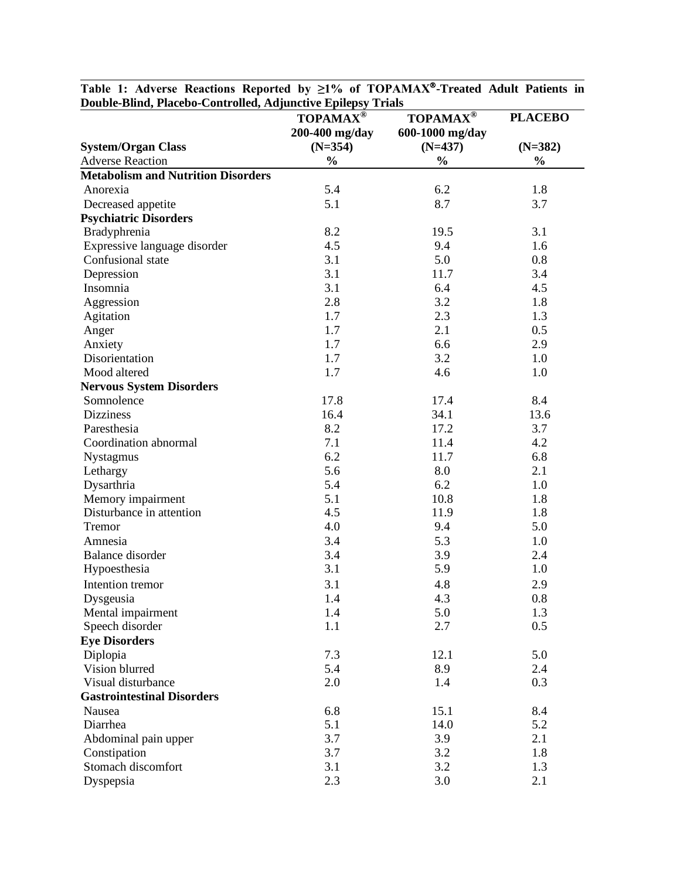| Double Dillu, I lacebo Controlleu, Aujunetive Ephepsy Trials | <b>TOPAMAX®</b> | <b>TOPAMAX®</b> | <b>PLACEBO</b> |  |
|--------------------------------------------------------------|-----------------|-----------------|----------------|--|
|                                                              | 200-400 mg/day  | 600-1000 mg/day |                |  |
| <b>System/Organ Class</b>                                    | $(N=354)$       | $(N=437)$       | $(N=382)$      |  |
| <b>Adverse Reaction</b>                                      | $\frac{0}{0}$   | $\frac{0}{0}$   | $\frac{0}{0}$  |  |
| <b>Metabolism and Nutrition Disorders</b>                    |                 |                 |                |  |
| Anorexia                                                     | 5.4             | 6.2             | 1.8            |  |
| Decreased appetite                                           | 5.1             | 8.7             | 3.7            |  |
| <b>Psychiatric Disorders</b>                                 |                 |                 |                |  |
| Bradyphrenia                                                 | 8.2             | 19.5            | 3.1            |  |
| Expressive language disorder                                 | 4.5             | 9.4             | 1.6            |  |
| Confusional state                                            | 3.1             | 5.0             | 0.8            |  |
| Depression                                                   | 3.1             | 11.7            | 3.4            |  |
| Insomnia                                                     | 3.1             | 6.4             | 4.5            |  |
| Aggression                                                   | 2.8             | 3.2             | 1.8            |  |
| Agitation                                                    | 1.7             | 2.3             | 1.3            |  |
| Anger                                                        | 1.7             | 2.1             | 0.5            |  |
| Anxiety                                                      | 1.7             | 6.6             | 2.9            |  |
| Disorientation                                               | 1.7             | 3.2             | 1.0            |  |
| Mood altered                                                 | 1.7             | 4.6             | 1.0            |  |
| <b>Nervous System Disorders</b>                              |                 |                 |                |  |
| Somnolence                                                   | 17.8            | 17.4            | 8.4            |  |
| <b>Dizziness</b>                                             | 16.4            | 34.1            | 13.6           |  |
| Paresthesia                                                  | 8.2             | 17.2            | 3.7            |  |
| Coordination abnormal                                        | 7.1             | 11.4            | 4.2            |  |
|                                                              | 6.2             | 11.7            | 6.8            |  |
| Nystagmus                                                    |                 | 8.0             |                |  |
| Lethargy                                                     | 5.6<br>5.4      | 6.2             | 2.1            |  |
| Dysarthria                                                   |                 |                 | 1.0            |  |
| Memory impairment                                            | 5.1             | 10.8            | 1.8            |  |
| Disturbance in attention                                     | 4.5             | 11.9            | 1.8            |  |
| Tremor                                                       | 4.0             | 9.4             | 5.0            |  |
| Amnesia                                                      | 3.4             | 5.3             | 1.0            |  |
| <b>Balance</b> disorder                                      | 3.4             | 3.9             | 2.4            |  |
| Hypoesthesia                                                 | 3.1             | 5.9             | 1.0            |  |
| Intention tremor                                             | 3.1             | 4.8             | 2.9            |  |
| Dysgeusia                                                    | 1.4             | 4.3             | 0.8            |  |
| Mental impairment                                            | 1.4             | 5.0             | 1.3            |  |
| Speech disorder                                              | 1.1             | 2.7             | 0.5            |  |
| <b>Eye Disorders</b>                                         |                 |                 |                |  |
| Diplopia                                                     | 7.3             | 12.1            | 5.0            |  |
| Vision blurred                                               | 5.4             | 8.9             | 2.4            |  |
| Visual disturbance                                           | 2.0             | 1.4             | 0.3            |  |
| <b>Gastrointestinal Disorders</b>                            |                 |                 |                |  |
| Nausea                                                       | 6.8             | 15.1            | 8.4            |  |
| Diarrhea                                                     | 5.1             | 14.0            | 5.2            |  |
| Abdominal pain upper                                         | 3.7             | 3.9             | 2.1            |  |
| Constipation                                                 | 3.7             | 3.2             | 1.8            |  |
| Stomach discomfort                                           | 3.1             | 3.2             | 1.3            |  |
| Dyspepsia                                                    | 2.3             | 3.0             | 2.1            |  |

**Table 1: Adverse Reactions Reported by ≥1% of TOPAMAX-Treated Adult Patients in Double-Blind, Placebo-Controlled, Adjunctive Epilepsy Trials**  $\overline{\phantom{a}}$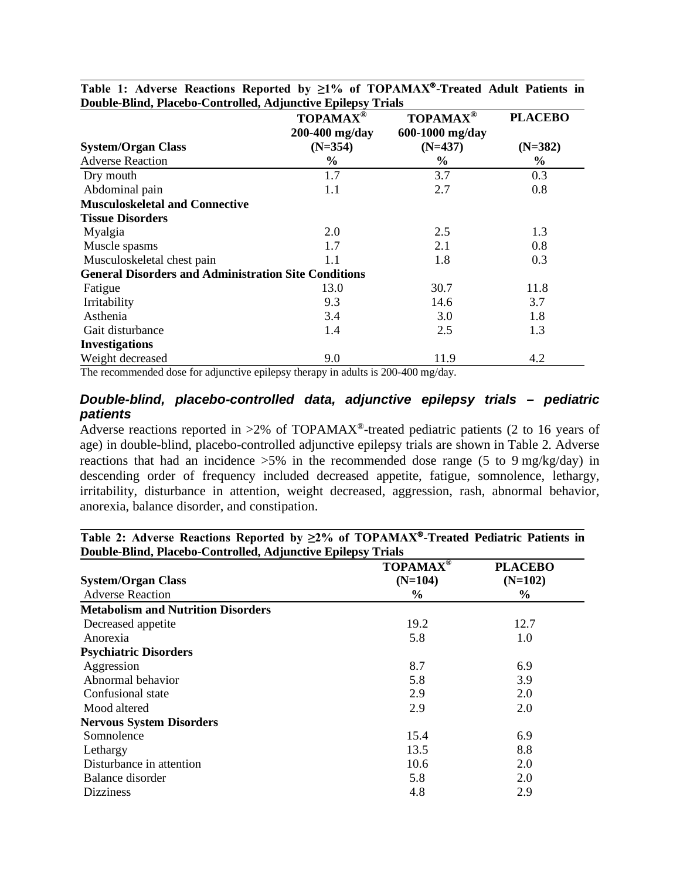|                                                             | $\mathbf{TOPAMAX}^{\circledR}$ | <b>TOPAMAX®</b> | <b>PLACEBO</b> |
|-------------------------------------------------------------|--------------------------------|-----------------|----------------|
|                                                             | 200-400 mg/day                 | 600-1000 mg/day |                |
| <b>System/Organ Class</b>                                   | $(N=354)$                      | $(N=437)$       | $(N=382)$      |
| <b>Adverse Reaction</b>                                     | $\%$                           | $\%$            | $\%$           |
| Dry mouth                                                   | 1.7                            | 3.7             | 0.3            |
| Abdominal pain                                              | 1.1                            | 2.7             | 0.8            |
| <b>Musculoskeletal and Connective</b>                       |                                |                 |                |
| <b>Tissue Disorders</b>                                     |                                |                 |                |
| Myalgia                                                     | 2.0                            | 2.5             | 1.3            |
| Muscle spasms                                               | 1.7                            | 2.1             | 0.8            |
| Musculoskeletal chest pain                                  | 1.1                            | 1.8             | 0.3            |
| <b>General Disorders and Administration Site Conditions</b> |                                |                 |                |
| Fatigue                                                     | 13.0                           | 30.7            | 11.8           |
| Irritability                                                | 9.3                            | 14.6            | 3.7            |
| Asthenia                                                    | 3.4                            | 3.0             | 1.8            |
| Gait disturbance                                            | 1.4                            | 2.5             | 1.3            |
| <b>Investigations</b>                                       |                                |                 |                |
| Weight decreased                                            | 9.0                            | 11.9            | 4.2            |

**Table 1: Adverse Reactions Reported by ≥1% of TOPAMAX-Treated Adult Patients in Double-Blind, Placebo-Controlled, Adjunctive Epilepsy Trials**

The recommended dose for adjunctive epilepsy therapy in adults is 200-400 mg/day.

### *Double-blind, placebo-controlled data, adjunctive epilepsy trials – pediatric patients*

Adverse reactions reported in  $>2\%$  of TOPAMAX<sup>®</sup>-treated pediatric patients (2 to 16 years of age) in double-blind, placebo-controlled adjunctive epilepsy trials are shown in Table 2. Adverse reactions that had an incidence  $>5\%$  in the recommended dose range (5 to 9 mg/kg/day) in descending order of frequency included decreased appetite, fatigue, somnolence, lethargy, irritability, disturbance in attention, weight decreased, aggression, rash, abnormal behavior, anorexia, balance disorder, and constipation.

**Table 2: Adverse Reactions Reported by ≥2% of TOPAMAX-Treated Pediatric Patients in Double-Blind, Placebo-Controlled, Adjunctive Epilepsy Trials**

|                                           | <b>TOPAMAX®</b> | <b>PLACEBO</b> |
|-------------------------------------------|-----------------|----------------|
| <b>System/Organ Class</b>                 | $(N=104)$       | $(N=102)$      |
| <b>Adverse Reaction</b>                   | $\%$            | $\%$           |
| <b>Metabolism and Nutrition Disorders</b> |                 |                |
| Decreased appetite                        | 19.2            | 12.7           |
| Anorexia                                  | 5.8             | 1.0            |
| <b>Psychiatric Disorders</b>              |                 |                |
| Aggression                                | 8.7             | 6.9            |
| Abnormal behavior                         | 5.8             | 3.9            |
| Confusional state                         | 2.9             | 2.0            |
| Mood altered                              | 2.9             | 2.0            |
| <b>Nervous System Disorders</b>           |                 |                |
| Somnolence                                | 15.4            | 6.9            |
| Lethargy                                  | 13.5            | 8.8            |
| Disturbance in attention                  | 10.6            | 2.0            |
| Balance disorder                          | 5.8             | 2.0            |
| <b>Dizziness</b>                          | 4.8             | 2.9            |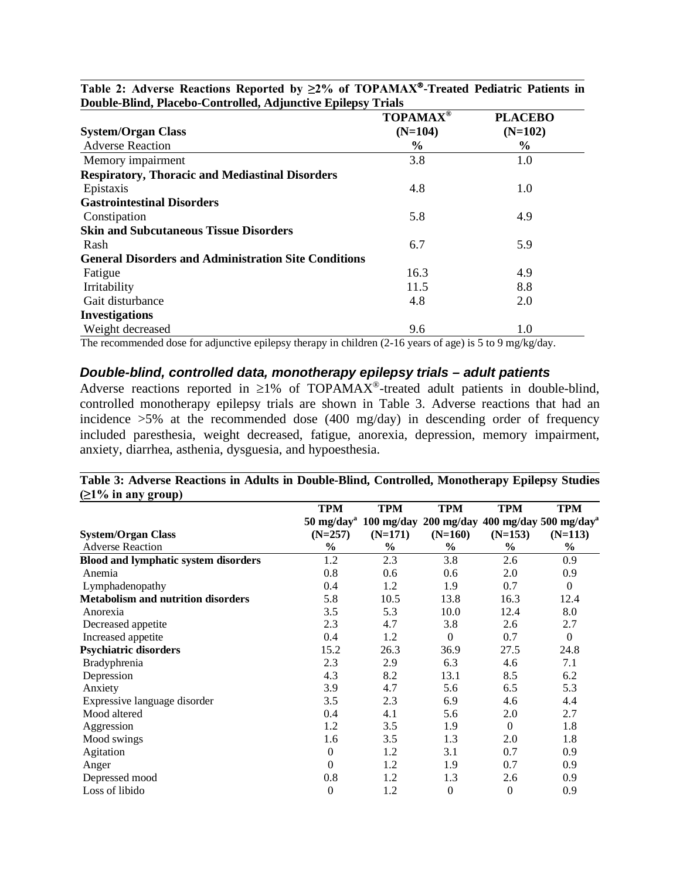|                                                             | <b>TOPAMAX®</b> | <b>PLACEBO</b> |
|-------------------------------------------------------------|-----------------|----------------|
| <b>System/Organ Class</b>                                   | $(N=104)$       | $(N=102)$      |
| <b>Adverse Reaction</b>                                     | $\%$            | $\%$           |
| Memory impairment                                           | 3.8             | 1.0            |
| <b>Respiratory, Thoracic and Mediastinal Disorders</b>      |                 |                |
| Epistaxis                                                   | 4.8             | 1.0            |
| <b>Gastrointestinal Disorders</b>                           |                 |                |
| Constipation                                                | 5.8             | 4.9            |
| <b>Skin and Subcutaneous Tissue Disorders</b>               |                 |                |
| Rash                                                        | 6.7             | 5.9            |
| <b>General Disorders and Administration Site Conditions</b> |                 |                |
| Fatigue                                                     | 16.3            | 4.9            |
| Irritability                                                | 11.5            | 8.8            |
| Gait disturbance                                            | 4.8             | 2.0            |
| <b>Investigations</b>                                       |                 |                |
| Weight decreased                                            | 9.6             | 1.0            |

**Table 2: Adverse Reactions Reported by ≥2% of TOPAMAX-Treated Pediatric Patients in Double-Blind, Placebo-Controlled, Adjunctive Epilepsy Trials**

The recommended dose for adjunctive epilepsy therapy in children (2-16 years of age) is 5 to 9 mg/kg/day.

### *Double-blind, controlled data, monotherapy epilepsy trials – adult patients*

Adverse reactions reported in  $\geq$ 1% of TOPAMAX<sup>®</sup>-treated adult patients in double-blind, controlled monotherapy epilepsy trials are shown in Table 3. Adverse reactions that had an incidence >5% at the recommended dose (400 mg/day) in descending order of frequency included paresthesia, weight decreased, fatigue, anorexia, depression, memory impairment, anxiety, diarrhea, asthenia, dysguesia, and hypoesthesia.

| (21 /0 III any group)                       |                                |            |                  |                  |                                                 |
|---------------------------------------------|--------------------------------|------------|------------------|------------------|-------------------------------------------------|
|                                             | <b>TPM</b>                     | <b>TPM</b> | <b>TPM</b>       | <b>TPM</b>       | <b>TPM</b>                                      |
|                                             | $50 \text{ mg/day}^{\text{a}}$ |            |                  |                  | 100 mg/day 200 mg/day 400 mg/day 500 mg/day $a$ |
| <b>System/Organ Class</b>                   | $(N=257)$                      | $(N=171)$  | $(N=160)$        | $(N=153)$        | $(N=113)$                                       |
| <b>Adverse Reaction</b>                     | $\frac{6}{6}$                  | $\%$       | $\frac{6}{6}$    | $\frac{6}{6}$    | $\frac{0}{0}$                                   |
| <b>Blood and lymphatic system disorders</b> | 1.2                            | 2.3        | 3.8              | 2.6              | 0.9                                             |
| Anemia                                      | 0.8                            | 0.6        | 0.6              | 2.0              | 0.9                                             |
| Lymphadenopathy                             | 0.4                            | 1.2        | 1.9              | 0.7              | $\boldsymbol{0}$                                |
| <b>Metabolism and nutrition disorders</b>   | 5.8                            | 10.5       | 13.8             | 16.3             | 12.4                                            |
| Anorexia                                    | 3.5                            | 5.3        | 10.0             | 12.4             | 8.0                                             |
| Decreased appetite                          | 2.3                            | 4.7        | 3.8              | 2.6              | 2.7                                             |
| Increased appetite                          | 0.4                            | 1.2        | $\boldsymbol{0}$ | 0.7              | $\boldsymbol{0}$                                |
| <b>Psychiatric disorders</b>                | 15.2                           | 26.3       | 36.9             | 27.5             | 24.8                                            |
| Bradyphrenia                                | 2.3                            | 2.9        | 6.3              | 4.6              | 7.1                                             |
| Depression                                  | 4.3                            | 8.2        | 13.1             | 8.5              | 6.2                                             |
| Anxiety                                     | 3.9                            | 4.7        | 5.6              | 6.5              | 5.3                                             |
| Expressive language disorder                | 3.5                            | 2.3        | 6.9              | 4.6              | 4.4                                             |
| Mood altered                                | 0.4                            | 4.1        | 5.6              | 2.0              | 2.7                                             |
| Aggression                                  | 1.2                            | 3.5        | 1.9              | $\overline{0}$   | 1.8                                             |
| Mood swings                                 | 1.6                            | 3.5        | 1.3              | 2.0              | 1.8                                             |
| Agitation                                   | $\theta$                       | 1.2        | 3.1              | 0.7              | 0.9                                             |
| Anger                                       | $\boldsymbol{0}$               | 1.2        | 1.9              | 0.7              | 0.9                                             |
| Depressed mood                              | 0.8                            | 1.2        | 1.3              | 2.6              | 0.9                                             |
| Loss of libido                              | $\overline{0}$                 | 1.2        | $\boldsymbol{0}$ | $\boldsymbol{0}$ | 0.9                                             |

**Table 3: Adverse Reactions in Adults in Double-Blind, Controlled, Monotherapy Epilepsy Studies (≥1% in any group)**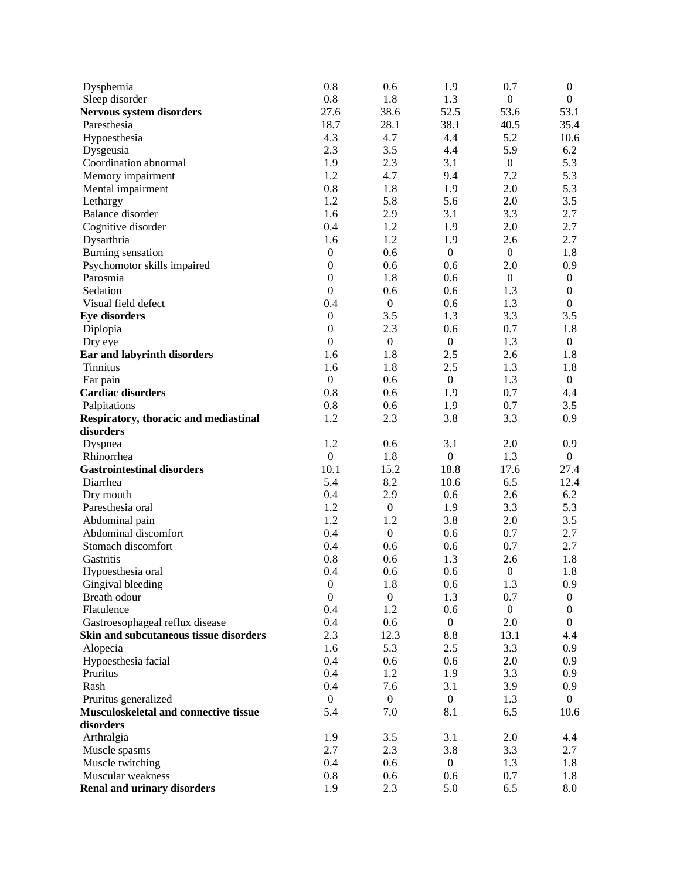| Dysphemia                                    | 0.8              | 0.6              | 1.9              | 0.7              | $\boldsymbol{0}$ |
|----------------------------------------------|------------------|------------------|------------------|------------------|------------------|
| Sleep disorder                               | 0.8              | 1.8              | 1.3              | $\boldsymbol{0}$ | $\mathbf{0}$     |
| <b>Nervous system disorders</b>              | 27.6             | 38.6             | 52.5             | 53.6             | 53.1             |
| Paresthesia                                  | 18.7             | 28.1             | 38.1             | 40.5             | 35.4             |
| Hypoesthesia                                 | 4.3              | 4.7              | 4.4              | 5.2              | 10.6             |
| Dysgeusia                                    | 2.3              | 3.5              | 4.4              | 5.9              | 6.2              |
| Coordination abnormal                        | 1.9              | 2.3              | 3.1              | $\boldsymbol{0}$ | 5.3              |
| Memory impairment                            | 1.2              | 4.7              | 9.4              | 7.2              | 5.3              |
| Mental impairment                            | 0.8              | 1.8              | 1.9              | 2.0              | 5.3              |
| Lethargy                                     | 1.2              | 5.8              | 5.6              | 2.0              | 3.5              |
| <b>Balance</b> disorder                      | 1.6              | 2.9              | 3.1              | 3.3              | 2.7              |
| Cognitive disorder                           | 0.4              | 1.2              | 1.9              | 2.0              | 2.7              |
| Dysarthria                                   | 1.6              | 1.2              | 1.9              | 2.6              | 2.7              |
| Burning sensation                            | $\boldsymbol{0}$ | 0.6              | $\boldsymbol{0}$ | $\boldsymbol{0}$ | 1.8              |
| Psychomotor skills impaired                  | $\boldsymbol{0}$ | 0.6              | 0.6              | 2.0              | 0.9              |
| Parosmia                                     | $\boldsymbol{0}$ | 1.8              | 0.6              | $\boldsymbol{0}$ | $\boldsymbol{0}$ |
| Sedation                                     | $\mathbf{0}$     | 0.6              | 0.6              | 1.3              | $\boldsymbol{0}$ |
| Visual field defect                          | 0.4              | $\boldsymbol{0}$ | 0.6              | 1.3              | $\mathbf{0}$     |
| <b>Eye disorders</b>                         | $\boldsymbol{0}$ | 3.5              | 1.3              | 3.3              | 3.5              |
| Diplopia                                     | $\boldsymbol{0}$ | 2.3              | 0.6              | 0.7              | 1.8              |
| Dry eye                                      | $\boldsymbol{0}$ | $\boldsymbol{0}$ | $\boldsymbol{0}$ | 1.3              | $\mathbf{0}$     |
| Ear and labyrinth disorders                  | 1.6              | 1.8              | 2.5              | 2.6              | 1.8              |
| <b>Tinnitus</b>                              | 1.6              | 1.8              | 2.5              | 1.3              | 1.8              |
| Ear pain                                     | $\boldsymbol{0}$ | 0.6              | $\boldsymbol{0}$ | 1.3              | $\mathbf{0}$     |
| <b>Cardiac disorders</b>                     | 0.8              | 0.6              | 1.9              | 0.7              | 4.4              |
| Palpitations                                 | 0.8              | 0.6              | 1.9              | 0.7              | 3.5              |
| Respiratory, thoracic and mediastinal        | 1.2              | 2.3              | 3.8              | 3.3              | 0.9              |
| disorders                                    |                  |                  |                  |                  |                  |
| Dyspnea                                      | 1.2              | 0.6              | 3.1              | 2.0              | 0.9              |
| Rhinorrhea                                   | $\boldsymbol{0}$ | 1.8              | $\boldsymbol{0}$ | 1.3              | $\overline{0}$   |
| <b>Gastrointestinal disorders</b>            | 10.1             | 15.2             | 18.8             | 17.6             | 27.4             |
| Diarrhea                                     | 5.4              | 8.2              | 10.6             | 6.5              | 12.4             |
| Dry mouth                                    | 0.4              | 2.9              | 0.6              | 2.6              | 6.2              |
| Paresthesia oral                             | 1.2              | $\boldsymbol{0}$ | 1.9              | 3.3              | 5.3              |
| Abdominal pain                               | 1.2              | 1.2              | 3.8              | 2.0              | 3.5              |
| Abdominal discomfort                         | 0.4              | $\boldsymbol{0}$ | 0.6              | 0.7              | 2.7              |
| Stomach discomfort                           | 0.4              | 0.6              | 0.6              | 0.7              | 2.7              |
| Gastritis                                    | 0.8              | 0.6              | 1.3              | 2.6              | 1.8              |
| Hypoesthesia oral                            | 0.4              | 0.6              | 0.6              | $\boldsymbol{0}$ | 1.8              |
| Gingival bleeding                            | $\boldsymbol{0}$ | 1.8              | 0.6              | 1.3              | 0.9              |
| Breath odour                                 | $\boldsymbol{0}$ | $\boldsymbol{0}$ | 1.3              | 0.7              | $\overline{0}$   |
| Flatulence                                   | 0.4              | 1.2              | 0.6              | $\boldsymbol{0}$ | $\boldsymbol{0}$ |
| Gastroesophageal reflux disease              | 0.4              | 0.6              | $\boldsymbol{0}$ | 2.0              | $\overline{0}$   |
| Skin and subcutaneous tissue disorders       | 2.3              | 12.3             | 8.8              | 13.1             | 4.4              |
| Alopecia                                     | 1.6              | 5.3              | 2.5              | 3.3              | 0.9              |
| Hypoesthesia facial                          | 0.4              | 0.6              | 0.6              | 2.0              | 0.9              |
| Pruritus                                     | 0.4              | 1.2              | 1.9              | 3.3              | 0.9              |
| Rash                                         | 0.4              | 7.6              | 3.1              | 3.9              | 0.9              |
| Pruritus generalized                         | $\mathbf{0}$     | $\boldsymbol{0}$ | $\boldsymbol{0}$ | 1.3              | $\theta$         |
| <b>Musculoskeletal and connective tissue</b> | 5.4              | 7.0              | 8.1              | 6.5              | 10.6             |
| disorders                                    |                  |                  |                  |                  |                  |
| Arthralgia                                   | 1.9              | 3.5              | 3.1              | 2.0              | 4.4              |
| Muscle spasms                                | 2.7              | 2.3              | 3.8              | 3.3              | 2.7              |
| Muscle twitching                             | 0.4              | 0.6              | $\boldsymbol{0}$ | 1.3              | 1.8              |
| Muscular weakness                            | 0.8              | 0.6              | 0.6              | 0.7              | 1.8              |
| <b>Renal and urinary disorders</b>           | 1.9              | 2.3              | 5.0              | 6.5              | 8.0              |
|                                              |                  |                  |                  |                  |                  |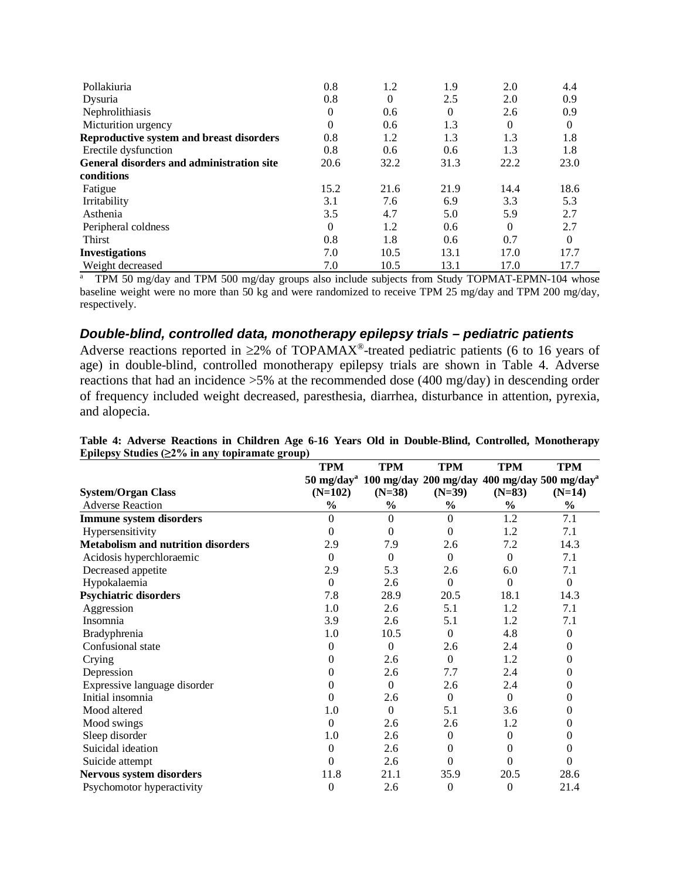| Pollakiuria                                      | 0.8              | 1.2      | 1.9  | 2.0      | 4.4  |
|--------------------------------------------------|------------------|----------|------|----------|------|
| Dysuria                                          | 0.8              | $\Omega$ | 2.5  | 2.0      | 0.9  |
| Nephrolithiasis                                  | $\boldsymbol{0}$ | 0.6      | 0    | 2.6      | 0.9  |
| Micturition urgency                              | $\theta$         | 0.6      | 1.3  | $\Omega$ | 0    |
| Reproductive system and breast disorders         | 0.8              | 1.2      | 1.3  | 1.3      | 1.8  |
| Erectile dysfunction                             | 0.8              | 0.6      | 0.6  | 1.3      | 1.8  |
| <b>General disorders and administration site</b> | 20.6             | 32.2     | 31.3 | 22.2     | 23.0 |
| conditions                                       |                  |          |      |          |      |
| Fatigue                                          | 15.2             | 21.6     | 21.9 | 14.4     | 18.6 |
| Irritability                                     | 3.1              | 7.6      | 6.9  | 3.3      | 5.3  |
| Asthenia                                         | 3.5              | 4.7      | 5.0  | 5.9      | 2.7  |
| Peripheral coldness                              | $\theta$         | 1.2      | 0.6  | $\Omega$ | 2.7  |
| Thirst                                           | 0.8              | 1.8      | 0.6  | 0.7      | 0    |
| <b>Investigations</b>                            | 7.0              | 10.5     | 13.1 | 17.0     | 17.7 |
| Weight decreased                                 | 7.0              | 10.5     | 13.1 | 17.0     | 17.7 |

a TPM 50 mg/day and TPM 500 mg/day groups also include subjects from Study TOPMAT-EPMN-104 whose baseline weight were no more than 50 kg and were randomized to receive TPM 25 mg/day and TPM 200 mg/day, respectively.

### *Double-blind, controlled data, monotherapy epilepsy trials – pediatric patients*

Adverse reactions reported in  $\geq 2\%$  of TOPAMAX<sup>®</sup>-treated pediatric patients (6 to 16 years of age) in double-blind, controlled monotherapy epilepsy trials are shown in Table 4. Adverse reactions that had an incidence >5% at the recommended dose (400 mg/day) in descending order of frequency included weight decreased, paresthesia, diarrhea, disturbance in attention, pyrexia, and alopecia.

|                                           | <b>TPM</b>       | <b>TPM</b>    | <b>TPM</b>     | <b>TPM</b>       | <b>TPM</b>                                                                      |
|-------------------------------------------|------------------|---------------|----------------|------------------|---------------------------------------------------------------------------------|
|                                           |                  |               |                |                  | 50 mg/day <sup>a</sup> 100 mg/day 200 mg/day 400 mg/day 500 mg/day <sup>a</sup> |
| <b>System/Organ Class</b>                 | $(N=102)$        | $(N=38)$      | $(N=39)$       | $(N=83)$         | $(N=14)$                                                                        |
| <b>Adverse Reaction</b>                   | $\frac{0}{0}$    | $\frac{0}{0}$ | $\frac{0}{0}$  | $\frac{6}{6}$    | $\frac{1}{2}$                                                                   |
| <b>Immune system disorders</b>            | $\overline{0}$   | $\Omega$      | $\Omega$       | 1.2              | 7.1                                                                             |
| Hypersensitivity                          | $\theta$         | $\Omega$      | $\Omega$       | 1.2              | 7.1                                                                             |
| <b>Metabolism and nutrition disorders</b> | 2.9              | 7.9           | 2.6            | 7.2              | 14.3                                                                            |
| Acidosis hyperchloraemic                  | $\overline{0}$   | $\Omega$      | $\mathbf{0}$   | $\Omega$         | 7.1                                                                             |
| Decreased appetite                        | 2.9              | 5.3           | 2.6            | 6.0              | 7.1                                                                             |
| Hypokalaemia                              | $\overline{0}$   | 2.6           | $\mathbf{0}$   | $\theta$         | $\mathbf{0}$                                                                    |
| <b>Psychiatric disorders</b>              | 7.8              | 28.9          | 20.5           | 18.1             | 14.3                                                                            |
| Aggression                                | 1.0              | 2.6           | 5.1            | 1.2              | 7.1                                                                             |
| Insomnia                                  | 3.9              | 2.6           | 5.1            | 1.2              | 7.1                                                                             |
| Bradyphrenia                              | 1.0              | 10.5          | $\Omega$       | 4.8              | $\mathbf{0}$                                                                    |
| Confusional state                         | 0                | $\Omega$      | 2.6            | 2.4              | $\boldsymbol{0}$                                                                |
| Crying                                    | 0                | 2.6           | $\mathbf{0}$   | 1.2              | $\mathbf{0}$                                                                    |
| Depression                                | 0                | 2.6           | 7.7            | 2.4              | $\mathbf{0}$                                                                    |
| Expressive language disorder              | $\overline{0}$   | $\Omega$      | 2.6            | 2.4              | $\mathbf{0}$                                                                    |
| Initial insomnia                          | 0                | 2.6           | $\mathbf{0}$   | $\overline{0}$   | $\mathbf{0}$                                                                    |
| Mood altered                              | 1.0              | $\Omega$      | 5.1            | 3.6              | 0                                                                               |
| Mood swings                               | $\boldsymbol{0}$ | 2.6           | 2.6            | 1.2              | 0                                                                               |
| Sleep disorder                            | 1.0              | 2.6           | $\mathbf{0}$   | $\mathbf{0}$     | 0                                                                               |
| Suicidal ideation                         | $\mathbf{0}$     | 2.6           | $\theta$       | 0                | 0                                                                               |
| Suicide attempt                           | $\overline{0}$   | 2.6           | $\mathbf{0}$   | 0                | $\mathbf{0}$                                                                    |
| Nervous system disorders                  | 11.8             | 21.1          | 35.9           | 20.5             | 28.6                                                                            |
| Psychomotor hyperactivity                 | 0                | 2.6           | $\overline{0}$ | $\boldsymbol{0}$ | 21.4                                                                            |

**Table 4: Adverse Reactions in Children Age 6-16 Years Old in Double-Blind, Controlled, Monotherapy Epilepsy Studies (≥2% in any topiramate group)**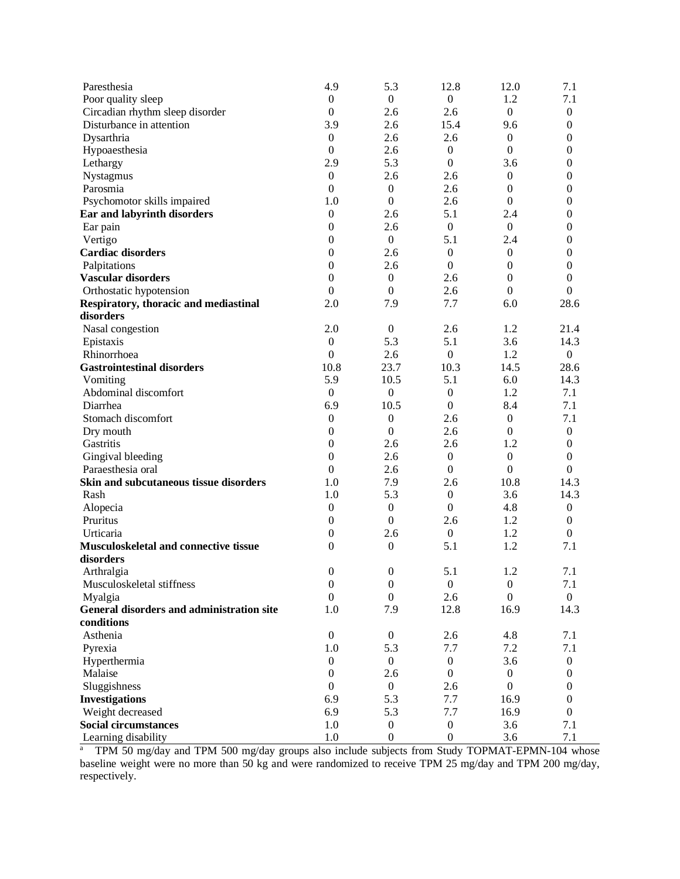| Paresthesia                               | 4.9              | 5.3              | 12.8             | 12.0             | 7.1              |
|-------------------------------------------|------------------|------------------|------------------|------------------|------------------|
| Poor quality sleep                        | $\mathbf{0}$     | $\mathbf{0}$     | $\boldsymbol{0}$ | 1.2              | 7.1              |
| Circadian rhythm sleep disorder           | $\boldsymbol{0}$ | 2.6              | 2.6              | $\mathbf{0}$     | $\boldsymbol{0}$ |
| Disturbance in attention                  | 3.9              | 2.6              | 15.4             | 9.6              | $\boldsymbol{0}$ |
| Dysarthria                                | $\boldsymbol{0}$ | 2.6              | 2.6              | $\mathbf{0}$     | $\boldsymbol{0}$ |
| Hypoaesthesia                             | $\boldsymbol{0}$ | 2.6              | $\mathbf{0}$     | $\mathbf{0}$     | $\boldsymbol{0}$ |
| Lethargy                                  | 2.9              | 5.3              | $\boldsymbol{0}$ | 3.6              | $\boldsymbol{0}$ |
| Nystagmus                                 | $\boldsymbol{0}$ | 2.6              | 2.6              | $\mathbf{0}$     | $\mathbf{0}$     |
| Parosmia                                  | $\boldsymbol{0}$ | $\boldsymbol{0}$ | 2.6              | $\mathbf{0}$     | $\theta$         |
| Psychomotor skills impaired               | 1.0              | $\boldsymbol{0}$ | 2.6              | $\overline{0}$   | $\theta$         |
| Ear and labyrinth disorders               | $\boldsymbol{0}$ | 2.6              | 5.1              | 2.4              | $\theta$         |
| Ear pain                                  | $\boldsymbol{0}$ | 2.6              | $\mathbf{0}$     | $\boldsymbol{0}$ | 0                |
| Vertigo                                   | $\boldsymbol{0}$ | $\boldsymbol{0}$ | 5.1              | 2.4              | $\theta$         |
| <b>Cardiac disorders</b>                  | $\boldsymbol{0}$ | 2.6              | $\mathbf{0}$     | $\boldsymbol{0}$ | 0                |
| Palpitations                              | $\boldsymbol{0}$ | 2.6              | $\boldsymbol{0}$ | $\mathbf{0}$     | $\mathbf{0}$     |
| <b>Vascular disorders</b>                 | $\boldsymbol{0}$ | $\boldsymbol{0}$ | 2.6              | $\boldsymbol{0}$ | $\mathbf{0}$     |
| Orthostatic hypotension                   | $\boldsymbol{0}$ | $\boldsymbol{0}$ | 2.6              | $\mathbf{0}$     | $\boldsymbol{0}$ |
| Respiratory, thoracic and mediastinal     | 2.0              | 7.9              | 7.7              | 6.0              | 28.6             |
| disorders                                 |                  |                  |                  |                  |                  |
| Nasal congestion                          | 2.0              | $\mathbf{0}$     | 2.6              | 1.2              | 21.4             |
| Epistaxis                                 | $\boldsymbol{0}$ | 5.3              | 5.1              | 3.6              | 14.3             |
| Rhinorrhoea                               | $\boldsymbol{0}$ | 2.6              | $\boldsymbol{0}$ | 1.2              | $\overline{0}$   |
| <b>Gastrointestinal disorders</b>         | 10.8             | 23.7             | 10.3             | 14.5             | 28.6             |
| Vomiting                                  | 5.9              | 10.5             | 5.1              | 6.0              | 14.3             |
| Abdominal discomfort                      | $\boldsymbol{0}$ | $\boldsymbol{0}$ | $\boldsymbol{0}$ | 1.2              | 7.1              |
| Diarrhea                                  | 6.9              | 10.5             | $\Omega$         | 8.4              | 7.1              |
| Stomach discomfort                        | $\boldsymbol{0}$ | $\boldsymbol{0}$ | 2.6              | $\mathbf{0}$     | 7.1              |
| Dry mouth                                 | $\boldsymbol{0}$ | $\boldsymbol{0}$ | 2.6              | $\mathbf{0}$     | $\mathbf{0}$     |
| Gastritis                                 | $\boldsymbol{0}$ | 2.6              | 2.6              | 1.2              | $\boldsymbol{0}$ |
| Gingival bleeding                         | $\boldsymbol{0}$ | 2.6              | $\boldsymbol{0}$ | $\boldsymbol{0}$ | $\boldsymbol{0}$ |
| Paraesthesia oral                         | $\boldsymbol{0}$ | 2.6              | $\boldsymbol{0}$ | $\boldsymbol{0}$ | $\overline{0}$   |
| Skin and subcutaneous tissue disorders    | 1.0              | 7.9              | 2.6              | 10.8             | 14.3             |
| Rash                                      | 1.0              | 5.3              | $\boldsymbol{0}$ | 3.6              | 14.3             |
| Alopecia                                  | $\boldsymbol{0}$ | $\boldsymbol{0}$ | $\mathbf{0}$     | 4.8              | $\boldsymbol{0}$ |
| Pruritus                                  | $\boldsymbol{0}$ | $\boldsymbol{0}$ | 2.6              | 1.2              | $\boldsymbol{0}$ |
| Urticaria                                 | $\boldsymbol{0}$ | 2.6              | $\mathbf{0}$     | 1.2              | $\mathbf{0}$     |
| Musculoskeletal and connective tissue     | $\theta$         | $\boldsymbol{0}$ | 5.1              | 1.2              | 7.1              |
| disorders                                 |                  |                  |                  |                  |                  |
| Arthralgia                                | $\boldsymbol{0}$ | $\boldsymbol{0}$ | 5.1              | 1.2              | 7.1              |
| Musculoskeletal stiffness                 | $\boldsymbol{0}$ | $\boldsymbol{0}$ | $\boldsymbol{0}$ | $\boldsymbol{0}$ | 7.1              |
| Myalgia                                   | $\boldsymbol{0}$ | $\boldsymbol{0}$ | 2.6              | $\boldsymbol{0}$ | $\overline{0}$   |
| General disorders and administration site | 1.0              | 7.9              | 12.8             | 16.9             | 14.3             |
| conditions                                |                  |                  |                  |                  |                  |
| Asthenia                                  | $\boldsymbol{0}$ | $\boldsymbol{0}$ | 2.6              | 4.8              | 7.1              |
| Pyrexia                                   | 1.0              | 5.3              | 7.7              | 7.2              | 7.1              |
| Hyperthermia                              | $\boldsymbol{0}$ | $\boldsymbol{0}$ | $\boldsymbol{0}$ | 3.6              | $\boldsymbol{0}$ |
| Malaise                                   | $\boldsymbol{0}$ | 2.6              | $\mathbf{0}$     | $\boldsymbol{0}$ | 0                |
| Sluggishness                              | $\boldsymbol{0}$ | $\boldsymbol{0}$ | 2.6              | $\boldsymbol{0}$ | 0                |
| <b>Investigations</b>                     | 6.9              | 5.3              | 7.7              | 16.9             | 0                |
| Weight decreased                          | 6.9              | 5.3              | 7.7              | 16.9             | $\boldsymbol{0}$ |
| <b>Social circumstances</b>               | 1.0              | $\boldsymbol{0}$ | $\boldsymbol{0}$ | 3.6              | 7.1              |
| Learning disability                       | $1.0\,$          | $\boldsymbol{0}$ | $\overline{0}$   | 3.6              | 7.1              |

Learning disability 1.0 0 0 3.6 7.1<br><sup>a</sup> TPM 50 mg/day and TPM 500 mg/day groups also include subjects from Study TOPMAT-EPMN-104 whose baseline weight were no more than 50 kg and were randomized to receive TPM 25 mg/day and TPM 200 mg/day, respectively.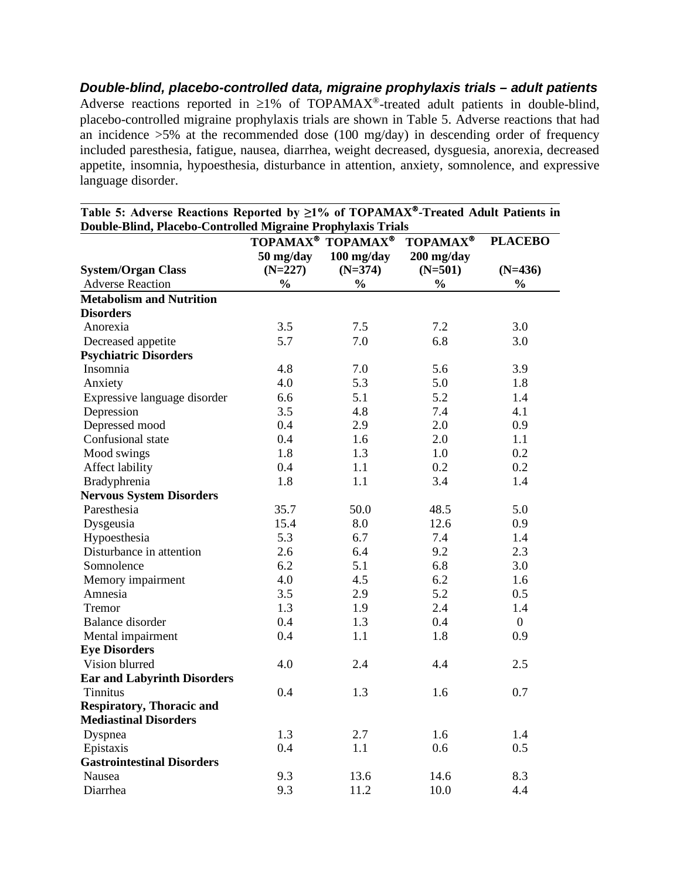*Double-blind, placebo-controlled data, migraine prophylaxis trials – adult patients* Adverse reactions reported in  $\geq$ 1% of TOPAMAX<sup>®</sup>-treated adult patients in double-blind, placebo-controlled migraine prophylaxis trials are shown in Table 5. Adverse reactions that had an incidence  $>5\%$  at the recommended dose (100 mg/day) in descending order of frequency included paresthesia, fatigue, nausea, diarrhea, weight decreased, dysguesia, anorexia, decreased appetite, insomnia, hypoesthesia, disturbance in attention, anxiety, somnolence, and expressive language disorder.

| Double-Dhild, Flacebo-Controlled ivilgrame Frophylaxis Trials |               | TOPAMAX <sup>®</sup> TOPAMAX <sup>®</sup> | <b>TOPAMAX®</b> | <b>PLACEBO</b> |
|---------------------------------------------------------------|---------------|-------------------------------------------|-----------------|----------------|
|                                                               | 50 mg/day     | 100 mg/day                                | 200 mg/day      |                |
| <b>System/Organ Class</b>                                     | $(N=227)$     | $(N=374)$                                 | $(N=501)$       | $(N=436)$      |
| <b>Adverse Reaction</b>                                       | $\frac{0}{0}$ | $\frac{0}{0}$                             | $\frac{0}{0}$   | $\frac{0}{0}$  |
| <b>Metabolism and Nutrition</b>                               |               |                                           |                 |                |
| <b>Disorders</b>                                              |               |                                           |                 |                |
| Anorexia                                                      | 3.5           | 7.5                                       | 7.2             | 3.0            |
|                                                               | 5.7           | 7.0                                       | 6.8             | 3.0            |
| Decreased appetite<br><b>Psychiatric Disorders</b>            |               |                                           |                 |                |
| Insomnia                                                      | 4.8           | 7.0                                       | 5.6             | 3.9            |
| Anxiety                                                       | 4.0           | 5.3                                       | 5.0             | 1.8            |
| Expressive language disorder                                  | 6.6           | 5.1                                       | 5.2             | 1.4            |
|                                                               | 3.5           | 4.8                                       | 7.4             | 4.1            |
| Depression<br>Depressed mood                                  | 0.4           | 2.9                                       | 2.0             | 0.9            |
| Confusional state                                             | 0.4           | 1.6                                       | 2.0             | 1.1            |
|                                                               | 1.8           | 1.3                                       | 1.0             | 0.2            |
| Mood swings                                                   | 0.4           | 1.1                                       | 0.2             | 0.2            |
| Affect lability                                               | 1.8           | 1.1                                       | 3.4             |                |
| Bradyphrenia                                                  |               |                                           |                 | 1.4            |
| <b>Nervous System Disorders</b><br>Paresthesia                | 35.7          | 50.0                                      | 48.5            | 5.0            |
|                                                               |               |                                           |                 |                |
| Dysgeusia                                                     | 15.4          | 8.0                                       | 12.6            | 0.9            |
| Hypoesthesia                                                  | 5.3           | 6.7                                       | 7.4             | 1.4            |
| Disturbance in attention                                      | 2.6           | 6.4                                       | 9.2             | 2.3            |
| Somnolence                                                    | 6.2           | 5.1                                       | 6.8             | 3.0            |
| Memory impairment                                             | 4.0           | 4.5                                       | 6.2             | 1.6            |
| Amnesia                                                       | 3.5           | 2.9                                       | 5.2             | 0.5            |
| Tremor                                                        | 1.3           | 1.9                                       | 2.4             | 1.4            |
| <b>Balance</b> disorder                                       | 0.4           | 1.3                                       | 0.4             | $\overline{0}$ |
| Mental impairment                                             | 0.4           | 1.1                                       | 1.8             | 0.9            |
| <b>Eye Disorders</b>                                          |               |                                           |                 |                |
| Vision blurred                                                | 4.0           | 2.4                                       | 4.4             | 2.5            |
| <b>Ear and Labyrinth Disorders</b>                            |               |                                           |                 |                |
| <b>Tinnitus</b>                                               | 0.4           | 1.3                                       | 1.6             | 0.7            |
| <b>Respiratory, Thoracic and</b>                              |               |                                           |                 |                |
| <b>Mediastinal Disorders</b>                                  |               |                                           |                 |                |
| Dyspnea                                                       | 1.3           | 2.7                                       | 1.6             | 1.4            |
| Epistaxis                                                     | 0.4           | 1.1                                       | 0.6             | 0.5            |
| <b>Gastrointestinal Disorders</b>                             |               |                                           |                 |                |
| Nausea                                                        | 9.3           | 13.6                                      | 14.6            | 8.3            |
| Diarrhea                                                      | 9.3           | 11.2                                      | 10.0            | 4.4            |

**Table 5: Adverse Reactions Reported by ≥1% of TOPAMAX-Treated Adult Patients in Double-Blind, Placebo-Controlled Migraine Prophylaxis Trials**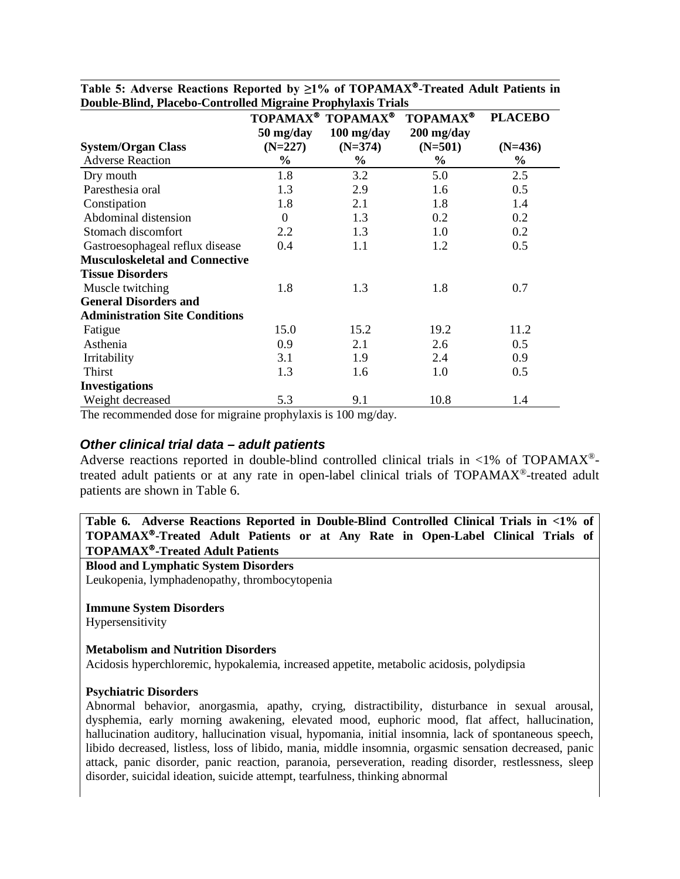|                                       |                                   | TOPAMAX <sup>®</sup> TOPAMAX <sup>®</sup> | <b>TOPAMAX®</b> | <b>PLACEBO</b> |
|---------------------------------------|-----------------------------------|-------------------------------------------|-----------------|----------------|
|                                       | $50 \frac{\text{mg}}{\text{day}}$ | $100$ mg/day                              | $200$ mg/day    |                |
| <b>System/Organ Class</b>             | $(N=227)$                         | $(N=374)$                                 | $(N=501)$       | $(N=436)$      |
| <b>Adverse Reaction</b>               | $\frac{6}{9}$                     | $\%$                                      | $\frac{6}{10}$  | $\%$           |
| Dry mouth                             | 1.8                               | 3.2                                       | 5.0             | 2.5            |
| Paresthesia oral                      | 1.3                               | 2.9                                       | 1.6             | 0.5            |
| Constipation                          | 1.8                               | 2.1                                       | 1.8             | 1.4            |
| Abdominal distension                  | $\Omega$                          | 1.3                                       | 0.2             | 0.2            |
| Stomach discomfort                    | 2.2                               | 1.3                                       | 1.0             | 0.2            |
| Gastroesophageal reflux disease       | 0.4                               | 1.1                                       | 1.2             | 0.5            |
| <b>Musculoskeletal and Connective</b> |                                   |                                           |                 |                |
| <b>Tissue Disorders</b>               |                                   |                                           |                 |                |
| Muscle twitching                      | 1.8                               | 1.3                                       | 1.8             | 0.7            |
| <b>General Disorders and</b>          |                                   |                                           |                 |                |
| <b>Administration Site Conditions</b> |                                   |                                           |                 |                |
| Fatigue                               | 15.0                              | 15.2                                      | 19.2            | 11.2           |
| Asthenia                              | 0.9                               | 2.1                                       | 2.6             | $0.5^{\circ}$  |
| Irritability                          | 3.1                               | 1.9                                       | 2.4             | 0.9            |
| Thirst                                | 1.3                               | 1.6                                       | 1.0             | 0.5            |
| <b>Investigations</b>                 |                                   |                                           |                 |                |
| Weight decreased                      | 5.3                               | 9.1                                       | 10.8            | 1.4            |

**Table 5: Adverse Reactions Reported by ≥1% of TOPAMAX-Treated Adult Patients in Double-Blind, Placebo-Controlled Migraine Prophylaxis Trials**

The recommended dose for migraine prophylaxis is 100 mg/day.

#### *Other clinical trial data – adult patients*

Adverse reactions reported in double-blind controlled clinical trials in  $\langle 1\%$  of TOPAMAX<sup>®</sup>treated adult patients or at any rate in open-label clinical trials of TOPAMAX®-treated adult patients are shown in Table 6.

**Table 6. Adverse Reactions Reported in Double-Blind Controlled Clinical Trials in <1% of TOPAMAX-Treated Adult Patients or at Any Rate in Open-Label Clinical Trials of TOPAMAX-Treated Adult Patients**

#### **Blood and Lymphatic System Disorders**

Leukopenia, lymphadenopathy, thrombocytopenia

#### **Immune System Disorders**

Hypersensitivity

#### **Metabolism and Nutrition Disorders**

Acidosis hyperchloremic, hypokalemia, increased appetite, metabolic acidosis, polydipsia

#### **Psychiatric Disorders**

Abnormal behavior, anorgasmia, apathy, crying, distractibility, disturbance in sexual arousal, dysphemia, early morning awakening, elevated mood, euphoric mood, flat affect, hallucination, hallucination auditory, hallucination visual, hypomania, initial insomnia, lack of spontaneous speech, libido decreased, listless, loss of libido, mania, middle insomnia, orgasmic sensation decreased, panic attack, panic disorder, panic reaction, paranoia, perseveration, reading disorder, restlessness, sleep disorder, suicidal ideation, suicide attempt, tearfulness, thinking abnormal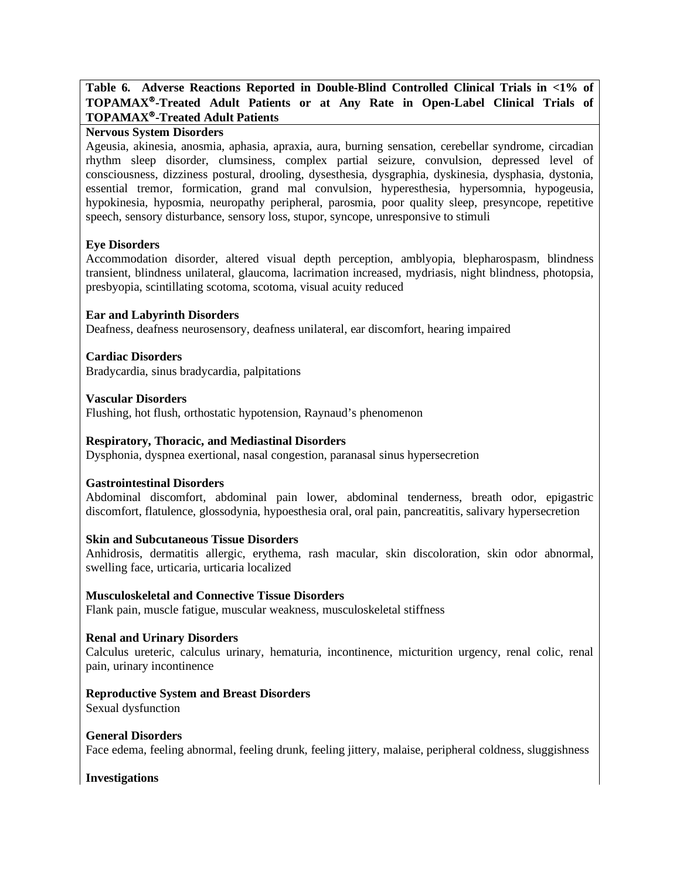### **Table 6. Adverse Reactions Reported in Double-Blind Controlled Clinical Trials in <1% of TOPAMAX-Treated Adult Patients or at Any Rate in Open-Label Clinical Trials of TOPAMAX-Treated Adult Patients**

#### **Nervous System Disorders**

Ageusia, akinesia, anosmia, aphasia, apraxia, aura, burning sensation, cerebellar syndrome, circadian rhythm sleep disorder, clumsiness, complex partial seizure, convulsion, depressed level of consciousness, dizziness postural, drooling, dysesthesia, dysgraphia, dyskinesia, dysphasia, dystonia, essential tremor, formication, grand mal convulsion, hyperesthesia, hypersomnia, hypogeusia, hypokinesia, hyposmia, neuropathy peripheral, parosmia, poor quality sleep, presyncope, repetitive speech, sensory disturbance, sensory loss, stupor, syncope, unresponsive to stimuli

#### **Eye Disorders**

Accommodation disorder, altered visual depth perception, amblyopia, blepharospasm, blindness transient, blindness unilateral, glaucoma, lacrimation increased, mydriasis, night blindness, photopsia, presbyopia, scintillating scotoma, scotoma, visual acuity reduced

#### **Ear and Labyrinth Disorders**

Deafness, deafness neurosensory, deafness unilateral, ear discomfort, hearing impaired

### **Cardiac Disorders**

Bradycardia, sinus bradycardia, palpitations

**Vascular Disorders**

Flushing, hot flush, orthostatic hypotension, Raynaud's phenomenon

#### **Respiratory, Thoracic, and Mediastinal Disorders**

Dysphonia, dyspnea exertional, nasal congestion, paranasal sinus hypersecretion

#### **Gastrointestinal Disorders**

Abdominal discomfort, abdominal pain lower, abdominal tenderness, breath odor, epigastric discomfort, flatulence, glossodynia, hypoesthesia oral, oral pain, pancreatitis, salivary hypersecretion

#### **Skin and Subcutaneous Tissue Disorders**

Anhidrosis, dermatitis allergic, erythema, rash macular, skin discoloration, skin odor abnormal, swelling face, urticaria, urticaria localized

#### **Musculoskeletal and Connective Tissue Disorders**

Flank pain, muscle fatigue, muscular weakness, musculoskeletal stiffness

#### **Renal and Urinary Disorders**

Calculus ureteric, calculus urinary, hematuria, incontinence, micturition urgency, renal colic, renal pain, urinary incontinence

### **Reproductive System and Breast Disorders**

Sexual dysfunction

#### **General Disorders**

Face edema, feeling abnormal, feeling drunk, feeling jittery, malaise, peripheral coldness, sluggishness

#### **Investigations**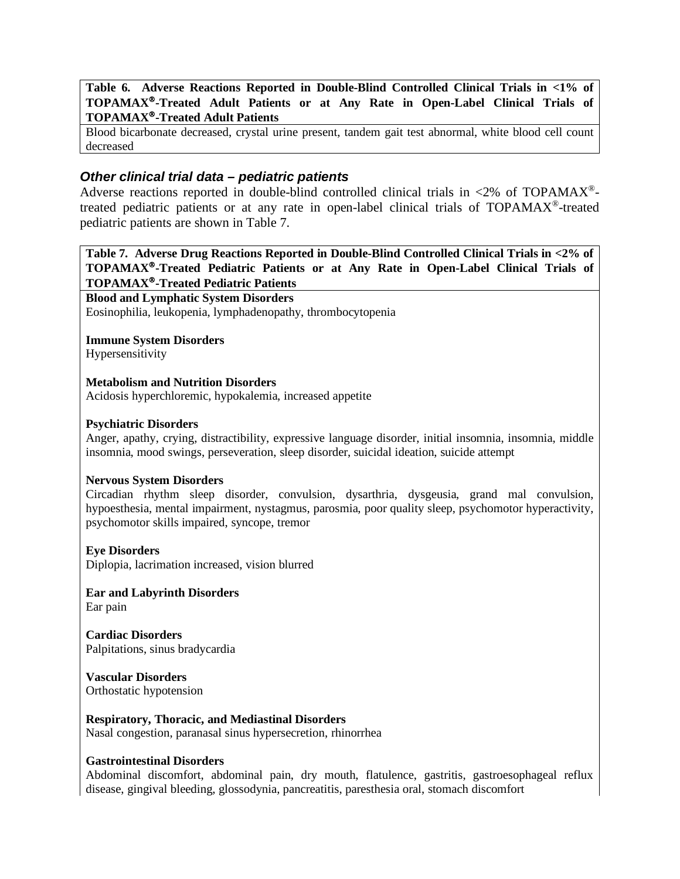**Table 6. Adverse Reactions Reported in Double-Blind Controlled Clinical Trials in <1% of TOPAMAX-Treated Adult Patients or at Any Rate in Open-Label Clinical Trials of TOPAMAX-Treated Adult Patients**

Blood bicarbonate decreased, crystal urine present, tandem gait test abnormal, white blood cell count decreased

### *Other clinical trial data – pediatric patients*

Adverse reactions reported in double-blind controlled clinical trials in  $\langle 2\%$  of TOPAMAX<sup>®</sup>treated pediatric patients or at any rate in open-label clinical trials of TOPAMAX®-treated pediatric patients are shown in Table 7.

**Table 7. Adverse Drug Reactions Reported in Double-Blind Controlled Clinical Trials in <2% of TOPAMAX-Treated Pediatric Patients or at Any Rate in Open-Label Clinical Trials of TOPAMAX-Treated Pediatric Patients**

**Blood and Lymphatic System Disorders**

Eosinophilia, leukopenia, lymphadenopathy, thrombocytopenia

#### **Immune System Disorders**

Hypersensitivity

#### **Metabolism and Nutrition Disorders**

Acidosis hyperchloremic, hypokalemia, increased appetite

#### **Psychiatric Disorders**

Anger, apathy, crying, distractibility, expressive language disorder, initial insomnia, insomnia, middle insomnia, mood swings, perseveration, sleep disorder, suicidal ideation, suicide attempt

#### **Nervous System Disorders**

Circadian rhythm sleep disorder, convulsion, dysarthria, dysgeusia, grand mal convulsion, hypoesthesia, mental impairment, nystagmus, parosmia, poor quality sleep, psychomotor hyperactivity, psychomotor skills impaired, syncope, tremor

#### **Eye Disorders**

Diplopia, lacrimation increased, vision blurred

**Ear and Labyrinth Disorders** Ear pain

**Cardiac Disorders** Palpitations, sinus bradycardia

**Vascular Disorders** Orthostatic hypotension

**Respiratory, Thoracic, and Mediastinal Disorders** Nasal congestion, paranasal sinus hypersecretion, rhinorrhea

#### **Gastrointestinal Disorders**

Abdominal discomfort, abdominal pain, dry mouth, flatulence, gastritis, gastroesophageal reflux disease, gingival bleeding, glossodynia, pancreatitis, paresthesia oral, stomach discomfort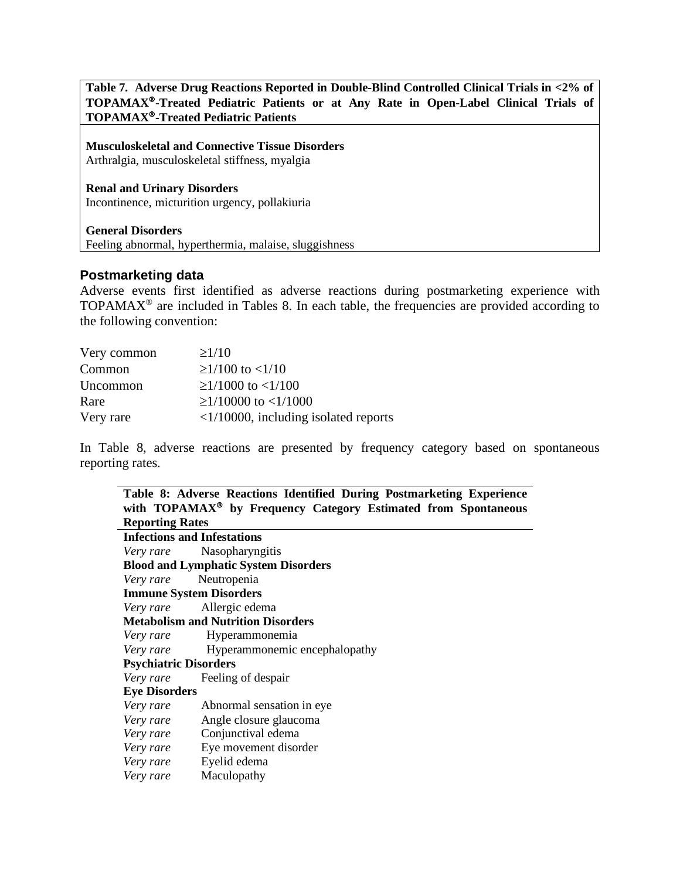**Table 7. Adverse Drug Reactions Reported in Double-Blind Controlled Clinical Trials in <2% of TOPAMAX-Treated Pediatric Patients or at Any Rate in Open-Label Clinical Trials of TOPAMAX-Treated Pediatric Patients**

**Musculoskeletal and Connective Tissue Disorders** Arthralgia, musculoskeletal stiffness, myalgia

**Renal and Urinary Disorders** Incontinence, micturition urgency, pollakiuria

#### **General Disorders**

Feeling abnormal, hyperthermia, malaise, sluggishness

### **Postmarketing data**

Adverse events first identified as adverse reactions during postmarketing experience with TOPAMAX® are included in Tables 8. In each table, the frequencies are provided according to the following convention:

| Very common | $\geq$ 1/10                                    |
|-------------|------------------------------------------------|
| Common      | $\geq$ 1/100 to <1/10                          |
| Uncommon    | $\geq$ 1/1000 to <1/100                        |
| Rare        | $\geq$ 1/10000 to <1/1000                      |
| Very rare   | $\langle 1/10000$ , including isolated reports |

In Table 8, adverse reactions are presented by frequency category based on spontaneous reporting rates.

|                                           | Table 8: Adverse Reactions Identified During Postmarketing Experience      |  |  |  |  |  |
|-------------------------------------------|----------------------------------------------------------------------------|--|--|--|--|--|
|                                           | with TOPAMAX <sup>®</sup> by Frequency Category Estimated from Spontaneous |  |  |  |  |  |
|                                           | <b>Reporting Rates</b>                                                     |  |  |  |  |  |
| <b>Infections and Infestations</b>        |                                                                            |  |  |  |  |  |
|                                           | Very rare Nasopharyngitis                                                  |  |  |  |  |  |
|                                           | <b>Blood and Lymphatic System Disorders</b>                                |  |  |  |  |  |
|                                           | Very rare Neutropenia                                                      |  |  |  |  |  |
| <b>Immune System Disorders</b>            |                                                                            |  |  |  |  |  |
|                                           | Very rare Allergic edema                                                   |  |  |  |  |  |
| <b>Metabolism and Nutrition Disorders</b> |                                                                            |  |  |  |  |  |
| Very rare                                 | Hyperammonemia                                                             |  |  |  |  |  |
|                                           | <i>Very rare</i> Hyperammonemic encephalopathy                             |  |  |  |  |  |
| <b>Psychiatric Disorders</b>              |                                                                            |  |  |  |  |  |
| Very rare                                 | Feeling of despair                                                         |  |  |  |  |  |
| <b>Eye Disorders</b>                      |                                                                            |  |  |  |  |  |
|                                           | <i>Very rare</i> Abnormal sensation in eye                                 |  |  |  |  |  |
|                                           | <i>Very rare</i> Angle closure glaucoma                                    |  |  |  |  |  |
|                                           | Very rare Conjunctival edema                                               |  |  |  |  |  |
|                                           | <i>Very rare</i> Eye movement disorder                                     |  |  |  |  |  |
|                                           | Very rare Eyelid edema                                                     |  |  |  |  |  |
| Very rare                                 | Maculopathy                                                                |  |  |  |  |  |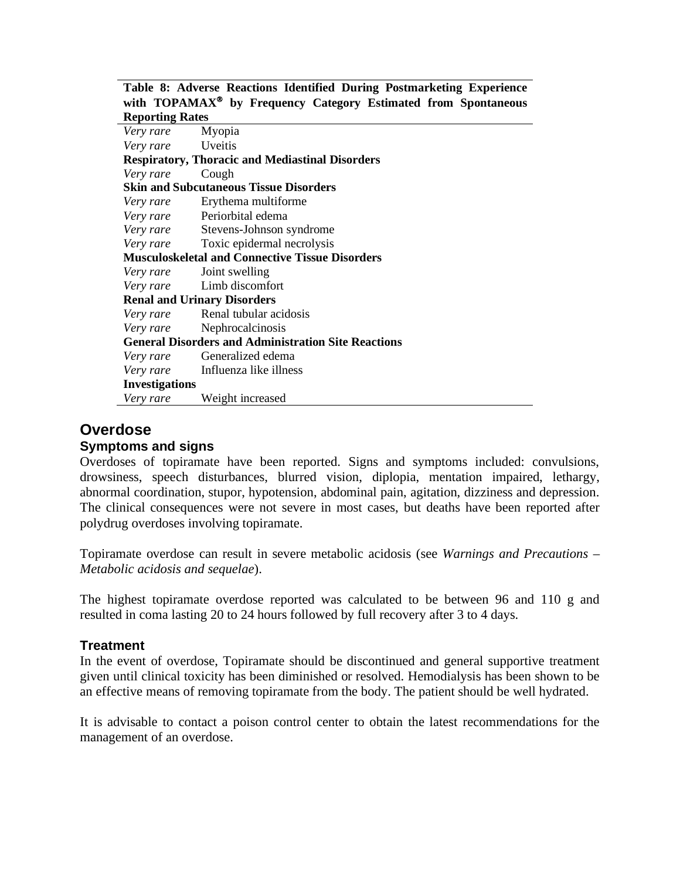|                        |  |  |  |  | Table 8: Adverse Reactions Identified During Postmarketing Experience      |  |
|------------------------|--|--|--|--|----------------------------------------------------------------------------|--|
|                        |  |  |  |  | with TOPAMAX <sup>®</sup> by Frequency Category Estimated from Spontaneous |  |
| <b>Reporting Rates</b> |  |  |  |  |                                                                            |  |

| weporum, www                                               |                                                        |  |  |  |  |  |
|------------------------------------------------------------|--------------------------------------------------------|--|--|--|--|--|
| <i>Very rare</i> Myopia                                    |                                                        |  |  |  |  |  |
| Very rare Uveitis                                          |                                                        |  |  |  |  |  |
|                                                            | <b>Respiratory, Thoracic and Mediastinal Disorders</b> |  |  |  |  |  |
| Very rare                                                  | Cough                                                  |  |  |  |  |  |
| <b>Skin and Subcutaneous Tissue Disorders</b>              |                                                        |  |  |  |  |  |
|                                                            | <i>Very rare</i> Erythema multiforme                   |  |  |  |  |  |
|                                                            | Very rare Periorbital edema                            |  |  |  |  |  |
|                                                            | Very rare Stevens-Johnson syndrome                     |  |  |  |  |  |
|                                                            | <i>Very rare</i> Toxic epidermal necrolysis            |  |  |  |  |  |
| <b>Musculoskeletal and Connective Tissue Disorders</b>     |                                                        |  |  |  |  |  |
|                                                            | <i>Very rare</i> Joint swelling                        |  |  |  |  |  |
|                                                            | Very rare Limb discomfort                              |  |  |  |  |  |
| <b>Renal and Urinary Disorders</b>                         |                                                        |  |  |  |  |  |
|                                                            | Very rare Renal tubular acidosis                       |  |  |  |  |  |
|                                                            | <i>Very rare</i> Nephrocalcinosis                      |  |  |  |  |  |
| <b>General Disorders and Administration Site Reactions</b> |                                                        |  |  |  |  |  |
|                                                            | Very rare Generalized edema                            |  |  |  |  |  |
|                                                            | Very rare Influenza like illness                       |  |  |  |  |  |
| <b>Investigations</b>                                      |                                                        |  |  |  |  |  |
| Very rare                                                  | Weight increased                                       |  |  |  |  |  |

# **Overdose**

### **Symptoms and signs**

Overdoses of topiramate have been reported. Signs and symptoms included: convulsions, drowsiness, speech disturbances, blurred vision, diplopia, mentation impaired, lethargy, abnormal coordination, stupor, hypotension, abdominal pain, agitation, dizziness and depression. The clinical consequences were not severe in most cases, but deaths have been reported after polydrug overdoses involving topiramate.

Topiramate overdose can result in severe metabolic acidosis (see *Warnings and Precautions – Metabolic acidosis and sequelae*).

The highest topiramate overdose reported was calculated to be between 96 and 110 g and resulted in coma lasting 20 to 24 hours followed by full recovery after 3 to 4 days.

### **Treatment**

In the event of overdose, Topiramate should be discontinued and general supportive treatment given until clinical toxicity has been diminished or resolved. Hemodialysis has been shown to be an effective means of removing topiramate from the body. The patient should be well hydrated.

It is advisable to contact a poison control center to obtain the latest recommendations for the management of an overdose.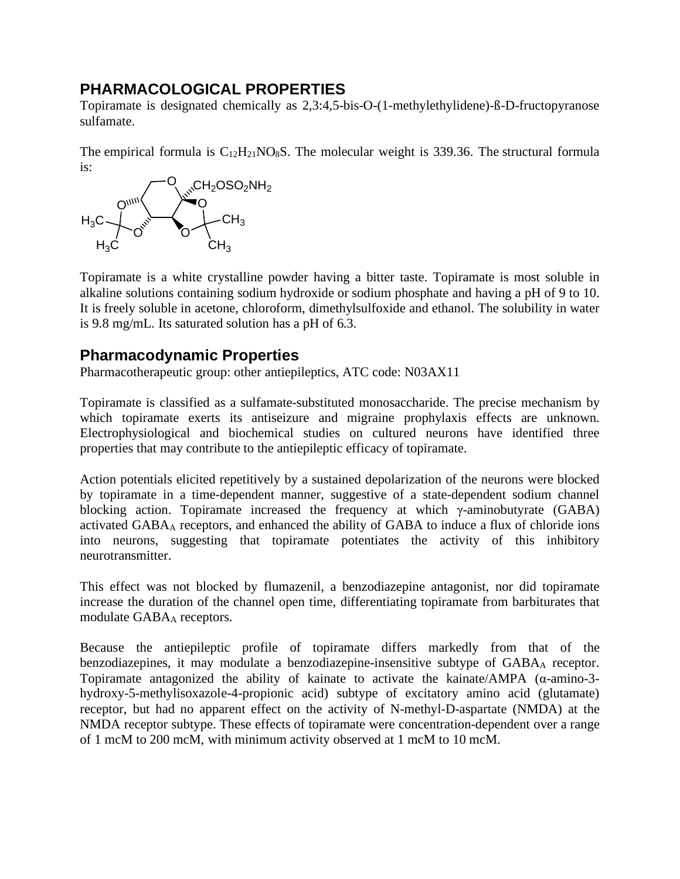# **PHARMACOLOGICAL PROPERTIES**

Topiramate is designated chemically as 2,3:4,5-bis-O-(1-methylethylidene)-ß-D-fructopyranose sulfamate.

The empirical formula is  $C_{12}H_{21}NO_8S$ . The molecular weight is 339.36. The structural formula is:



Topiramate is a white crystalline powder having a bitter taste. Topiramate is most soluble in alkaline solutions containing sodium hydroxide or sodium phosphate and having a pH of 9 to 10. It is freely soluble in acetone, chloroform, dimethylsulfoxide and ethanol. The solubility in water is 9.8 mg/mL. Its saturated solution has a pH of 6.3.

# **Pharmacodynamic Properties**

Pharmacotherapeutic group: other antiepileptics, ATC code: N03AX11

Topiramate is classified as a sulfamate-substituted monosaccharide. The precise mechanism by which topiramate exerts its antiseizure and migraine prophylaxis effects are unknown. Electrophysiological and biochemical studies on cultured neurons have identified three properties that may contribute to the antiepileptic efficacy of topiramate.

Action potentials elicited repetitively by a sustained depolarization of the neurons were blocked by topiramate in a time-dependent manner, suggestive of a state-dependent sodium channel blocking action. Topiramate increased the frequency at which  $\gamma$ -aminobutyrate (GABA) activated GABAA receptors, and enhanced the ability of GABA to induce a flux of chloride ions into neurons, suggesting that topiramate potentiates the activity of this inhibitory neurotransmitter.

This effect was not blocked by flumazenil, a benzodiazepine antagonist, nor did topiramate increase the duration of the channel open time, differentiating topiramate from barbiturates that modulate GABAA receptors.

Because the antiepileptic profile of topiramate differs markedly from that of the benzodiazepines, it may modulate a benzodiazepine-insensitive subtype of GABA<sub>A</sub> receptor. Topiramate antagonized the ability of kainate to activate the kainate/AMPA (α-amino-3 hydroxy-5-methylisoxazole-4-propionic acid) subtype of excitatory amino acid (glutamate) receptor, but had no apparent effect on the activity of N-methyl-D-aspartate (NMDA) at the NMDA receptor subtype. These effects of topiramate were concentration-dependent over a range of 1 mcM to 200 mcM, with minimum activity observed at 1 mcM to 10 mcM.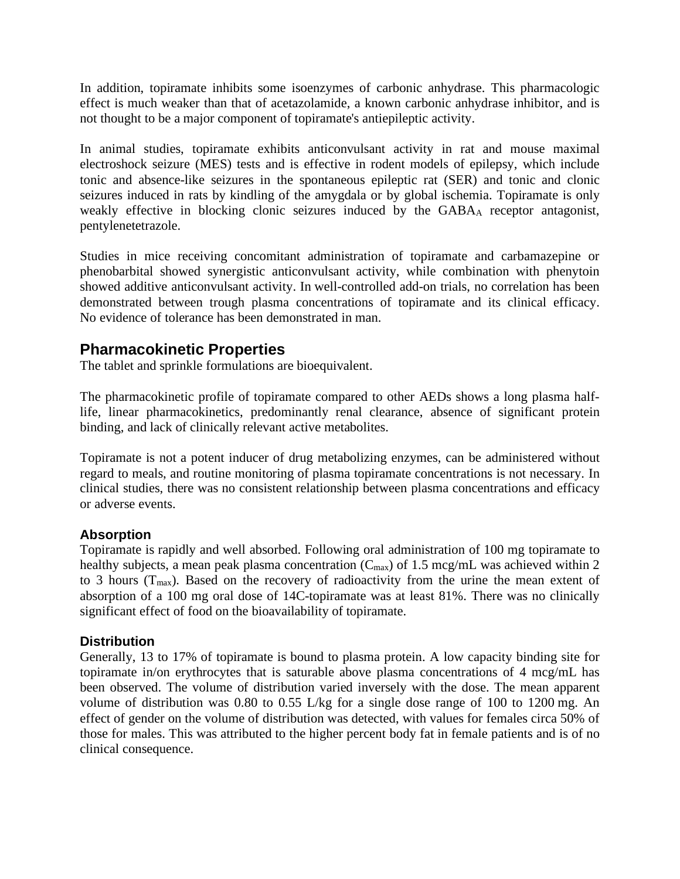In addition, topiramate inhibits some isoenzymes of carbonic anhydrase. This pharmacologic effect is much weaker than that of acetazolamide, a known carbonic anhydrase inhibitor, and is not thought to be a major component of topiramate's antiepileptic activity.

In animal studies, topiramate exhibits anticonvulsant activity in rat and mouse maximal electroshock seizure (MES) tests and is effective in rodent models of epilepsy, which include tonic and absence-like seizures in the spontaneous epileptic rat (SER) and tonic and clonic seizures induced in rats by kindling of the amygdala or by global ischemia. Topiramate is only weakly effective in blocking clonic seizures induced by the GABAA receptor antagonist, pentylenetetrazole.

Studies in mice receiving concomitant administration of topiramate and carbamazepine or phenobarbital showed synergistic anticonvulsant activity, while combination with phenytoin showed additive anticonvulsant activity. In well-controlled add-on trials, no correlation has been demonstrated between trough plasma concentrations of topiramate and its clinical efficacy. No evidence of tolerance has been demonstrated in man.

# **Pharmacokinetic Properties**

The tablet and sprinkle formulations are bioequivalent.

The pharmacokinetic profile of topiramate compared to other AEDs shows a long plasma halflife, linear pharmacokinetics, predominantly renal clearance, absence of significant protein binding, and lack of clinically relevant active metabolites.

Topiramate is not a potent inducer of drug metabolizing enzymes, can be administered without regard to meals, and routine monitoring of plasma topiramate concentrations is not necessary. In clinical studies, there was no consistent relationship between plasma concentrations and efficacy or adverse events.

### **Absorption**

Topiramate is rapidly and well absorbed. Following oral administration of 100 mg topiramate to healthy subjects, a mean peak plasma concentration  $(C_{\text{max}})$  of 1.5 mcg/mL was achieved within 2 to 3 hours ( $T_{\text{max}}$ ). Based on the recovery of radioactivity from the urine the mean extent of absorption of a 100 mg oral dose of 14C-topiramate was at least 81%. There was no clinically significant effect of food on the bioavailability of topiramate.

### **Distribution**

Generally, 13 to 17% of topiramate is bound to plasma protein. A low capacity binding site for topiramate in/on erythrocytes that is saturable above plasma concentrations of 4 mcg/mL has been observed. The volume of distribution varied inversely with the dose. The mean apparent volume of distribution was 0.80 to 0.55 L/kg for a single dose range of 100 to 1200 mg. An effect of gender on the volume of distribution was detected, with values for females circa 50% of those for males. This was attributed to the higher percent body fat in female patients and is of no clinical consequence.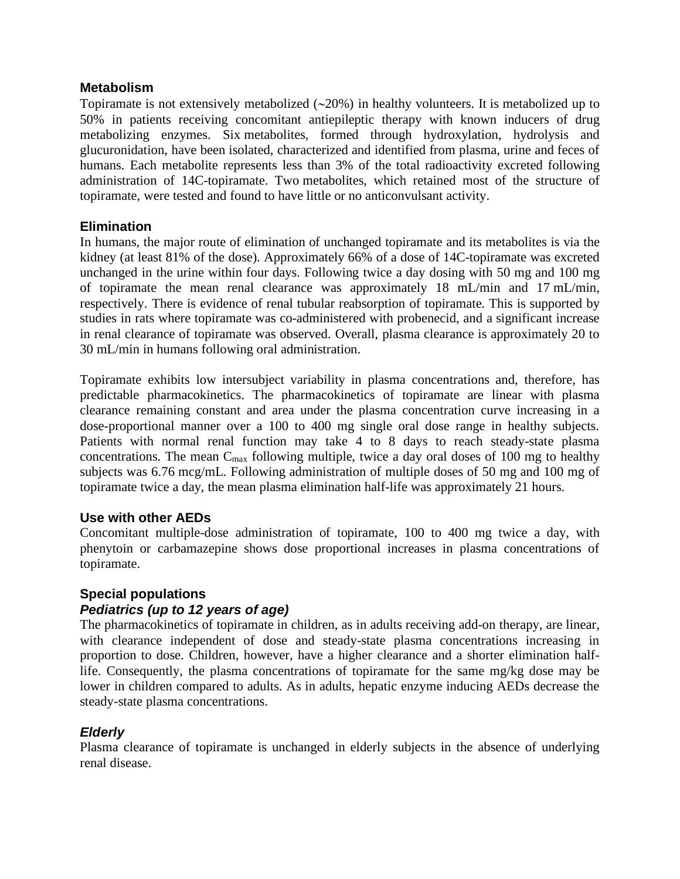### **Metabolism**

Topiramate is not extensively metabolized (∼20%) in healthy volunteers. It is metabolized up to 50% in patients receiving concomitant antiepileptic therapy with known inducers of drug metabolizing enzymes. Six metabolites, formed through hydroxylation, hydrolysis and glucuronidation, have been isolated, characterized and identified from plasma, urine and feces of humans. Each metabolite represents less than 3% of the total radioactivity excreted following administration of 14C-topiramate. Two metabolites, which retained most of the structure of topiramate, were tested and found to have little or no anticonvulsant activity.

### **Elimination**

In humans, the major route of elimination of unchanged topiramate and its metabolites is via the kidney (at least 81% of the dose). Approximately 66% of a dose of 14C-topiramate was excreted unchanged in the urine within four days. Following twice a day dosing with 50 mg and 100 mg of topiramate the mean renal clearance was approximately 18 mL/min and 17 mL/min, respectively. There is evidence of renal tubular reabsorption of topiramate. This is supported by studies in rats where topiramate was co-administered with probenecid, and a significant increase in renal clearance of topiramate was observed. Overall, plasma clearance is approximately 20 to 30 mL/min in humans following oral administration.

Topiramate exhibits low intersubject variability in plasma concentrations and, therefore, has predictable pharmacokinetics. The pharmacokinetics of topiramate are linear with plasma clearance remaining constant and area under the plasma concentration curve increasing in a dose-proportional manner over a 100 to 400 mg single oral dose range in healthy subjects. Patients with normal renal function may take 4 to 8 days to reach steady-state plasma concentrations. The mean  $C_{\text{max}}$  following multiple, twice a day oral doses of 100 mg to healthy subjects was 6.76 mcg/mL. Following administration of multiple doses of 50 mg and 100 mg of topiramate twice a day, the mean plasma elimination half-life was approximately 21 hours.

### **Use with other AEDs**

Concomitant multiple-dose administration of topiramate, 100 to 400 mg twice a day, with phenytoin or carbamazepine shows dose proportional increases in plasma concentrations of topiramate.

### **Special populations**

### *Pediatrics (up to 12 years of age)*

The pharmacokinetics of topiramate in children, as in adults receiving add-on therapy, are linear, with clearance independent of dose and steady-state plasma concentrations increasing in proportion to dose. Children, however, have a higher clearance and a shorter elimination halflife. Consequently, the plasma concentrations of topiramate for the same mg/kg dose may be lower in children compared to adults. As in adults, hepatic enzyme inducing AEDs decrease the steady-state plasma concentrations.

### *Elderly*

Plasma clearance of topiramate is unchanged in elderly subjects in the absence of underlying renal disease.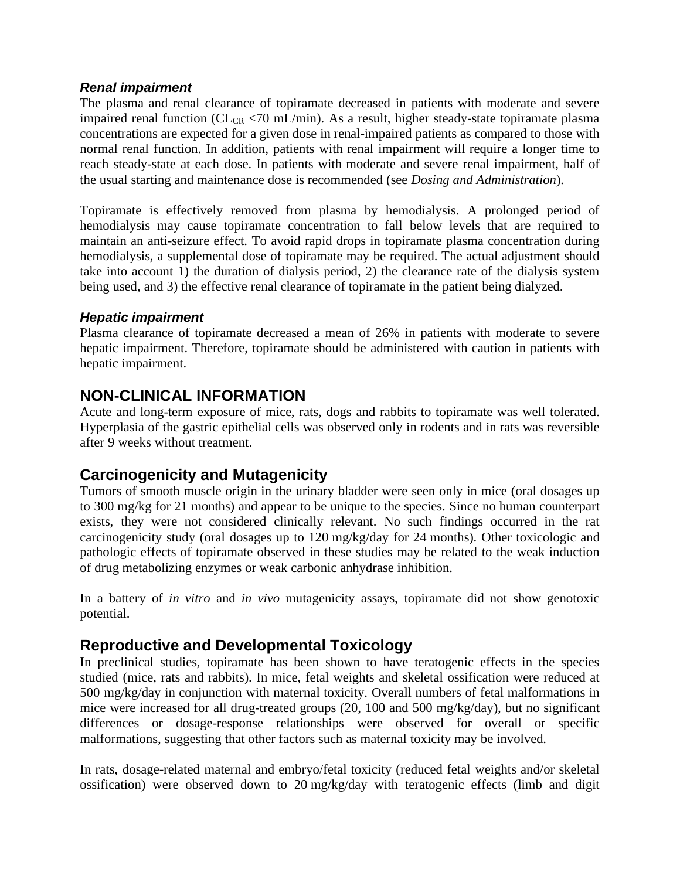### *Renal impairment*

The plasma and renal clearance of topiramate decreased in patients with moderate and severe impaired renal function ( $CL_{CR}$  <70 mL/min). As a result, higher steady-state topiramate plasma concentrations are expected for a given dose in renal-impaired patients as compared to those with normal renal function. In addition, patients with renal impairment will require a longer time to reach steady-state at each dose. In patients with moderate and severe renal impairment, half of the usual starting and maintenance dose is recommended (see *Dosing and Administration*).

Topiramate is effectively removed from plasma by hemodialysis. A prolonged period of hemodialysis may cause topiramate concentration to fall below levels that are required to maintain an anti-seizure effect. To avoid rapid drops in topiramate plasma concentration during hemodialysis, a supplemental dose of topiramate may be required. The actual adjustment should take into account 1) the duration of dialysis period, 2) the clearance rate of the dialysis system being used, and 3) the effective renal clearance of topiramate in the patient being dialyzed.

### *Hepatic impairment*

Plasma clearance of topiramate decreased a mean of 26% in patients with moderate to severe hepatic impairment. Therefore, topiramate should be administered with caution in patients with hepatic impairment.

# **NON-CLINICAL INFORMATION**

Acute and long-term exposure of mice, rats, dogs and rabbits to topiramate was well tolerated. Hyperplasia of the gastric epithelial cells was observed only in rodents and in rats was reversible after 9 weeks without treatment.

### **Carcinogenicity and Mutagenicity**

Tumors of smooth muscle origin in the urinary bladder were seen only in mice (oral dosages up to 300 mg/kg for 21 months) and appear to be unique to the species. Since no human counterpart exists, they were not considered clinically relevant. No such findings occurred in the rat carcinogenicity study (oral dosages up to 120 mg/kg/day for 24 months). Other toxicologic and pathologic effects of topiramate observed in these studies may be related to the weak induction of drug metabolizing enzymes or weak carbonic anhydrase inhibition.

In a battery of *in vitro* and *in vivo* mutagenicity assays, topiramate did not show genotoxic potential.

# **Reproductive and Developmental Toxicology**

In preclinical studies, topiramate has been shown to have teratogenic effects in the species studied (mice, rats and rabbits). In mice, fetal weights and skeletal ossification were reduced at 500 mg/kg/day in conjunction with maternal toxicity. Overall numbers of fetal malformations in mice were increased for all drug-treated groups (20, 100 and 500 mg/kg/day), but no significant differences or dosage-response relationships were observed for overall or specific malformations, suggesting that other factors such as maternal toxicity may be involved.

In rats, dosage-related maternal and embryo/fetal toxicity (reduced fetal weights and/or skeletal ossification) were observed down to 20 mg/kg/day with teratogenic effects (limb and digit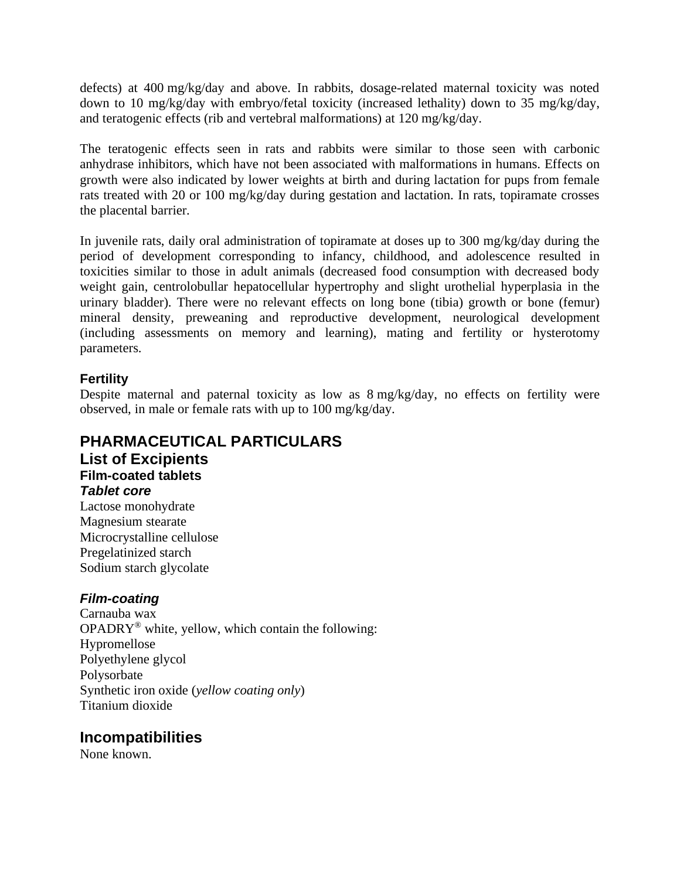defects) at 400 mg/kg/day and above. In rabbits, dosage-related maternal toxicity was noted down to 10 mg/kg/day with embryo/fetal toxicity (increased lethality) down to 35 mg/kg/day, and teratogenic effects (rib and vertebral malformations) at 120 mg/kg/day.

The teratogenic effects seen in rats and rabbits were similar to those seen with carbonic anhydrase inhibitors, which have not been associated with malformations in humans. Effects on growth were also indicated by lower weights at birth and during lactation for pups from female rats treated with 20 or 100 mg/kg/day during gestation and lactation. In rats, topiramate crosses the placental barrier.

In juvenile rats, daily oral administration of topiramate at doses up to 300 mg/kg/day during the period of development corresponding to infancy, childhood, and adolescence resulted in toxicities similar to those in adult animals (decreased food consumption with decreased body weight gain, centrolobullar hepatocellular hypertrophy and slight urothelial hyperplasia in the urinary bladder). There were no relevant effects on long bone (tibia) growth or bone (femur) mineral density, preweaning and reproductive development, neurological development (including assessments on memory and learning), mating and fertility or hysterotomy parameters.

### **Fertility**

Despite maternal and paternal toxicity as low as 8 mg/kg/day, no effects on fertility were observed, in male or female rats with up to 100 mg/kg/day.

### **PHARMACEUTICAL PARTICULARS List of Excipients Film-coated tablets** *Tablet core*

Lactose monohydrate Magnesium stearate Microcrystalline cellulose Pregelatinized starch Sodium starch glycolate

### *Film-coating*

Carnauba wax  $OPADRY^®$  white, yellow, which contain the following: Hypromellose Polyethylene glycol Polysorbate Synthetic iron oxide (*yellow coating only*) Titanium dioxide

# **Incompatibilities**

None known.